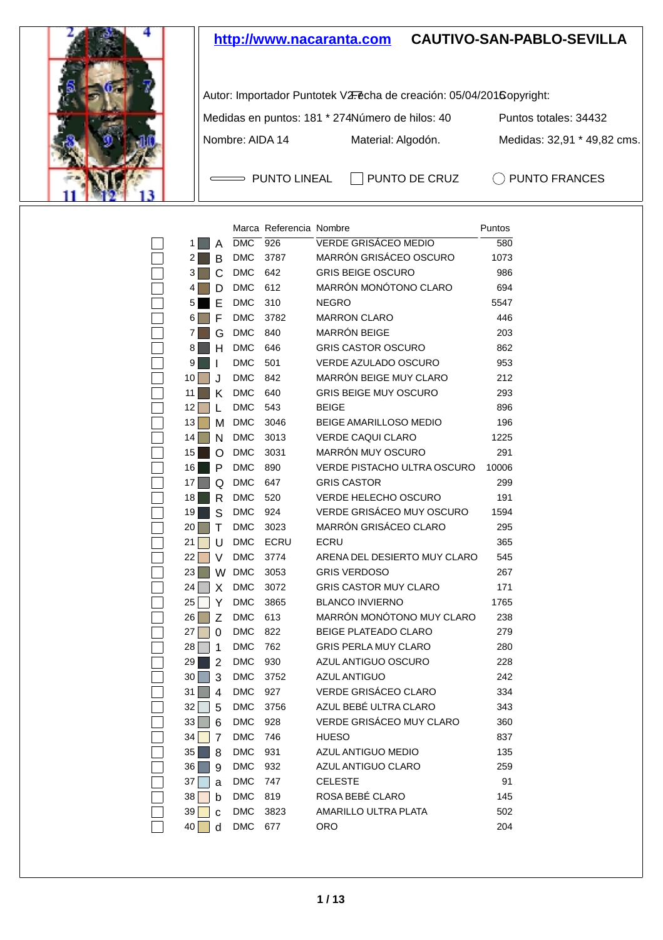## **<http://www.nacaranta.com> CAUTIVO-SAN-PABLO-SEVILLA**

Autor: Importador Puntotek V**2Fe**cha de creación: 05/04/2016opyright:

Medidas en puntos: 181 \* 274Número de hilos: 40 Puntos totales: 34432

Nombre: AIDA 14 Material: Algodón. Medidas: 32,91 \* 49,82 cms.

**E** PUNTO LINEAL PUNTO DE CRUZ 
O PUNTO FRANCES

|                 |    |            | Marca Referencia Nombre |                              | Puntos |
|-----------------|----|------------|-------------------------|------------------------------|--------|
| 11              | Α  | <b>DMC</b> | 926                     | VERDE GRISÁCEO MEDIO         | 580    |
| 21              | в  | <b>DMC</b> | 3787                    | MARRÓN GRISÁCEO OSCURO       | 1073   |
| 31              | С  | <b>DMC</b> | 642                     | <b>GRIS BEIGE OSCURO</b>     | 986    |
| 41              | D  | <b>DMC</b> | 612                     | MARRÓN MONÓTONO CLARO        | 694    |
| 5 <sup>1</sup>  | E  | <b>DMC</b> | 310                     | <b>NEGRO</b>                 | 5547   |
| 6               | F  | <b>DMC</b> | 3782                    | <b>MARRON CLARO</b>          | 446    |
| 71              | G  | <b>DMC</b> | 840                     | <b>MARRÓN BEIGE</b>          | 203    |
| 8               | н  | <b>DMC</b> | 646                     | <b>GRIS CASTOR OSCURO</b>    | 862    |
| 9               | ı  | <b>DMC</b> | 501                     | <b>VERDE AZULADO OSCURO</b>  | 953    |
| 10 <sup>1</sup> | 1. | <b>DMC</b> | 842                     | MARRÓN BEIGE MUY CLARO       | 212    |
| 11              | Κ  | <b>DMC</b> | 640                     | <b>GRIS BEIGE MUY OSCURO</b> | 293    |
| 12 <sub>1</sub> | L  | <b>DMC</b> | 543                     | <b>BEIGE</b>                 | 896    |
| 13              | М  | <b>DMC</b> | 3046                    | BEIGE AMARILLOSO MEDIO       | 196    |
| 14 <sup>1</sup> | N  | <b>DMC</b> | 3013                    | <b>VERDE CAQUI CLARO</b>     | 1225   |
| 15              | Ω  | <b>DMC</b> | 3031                    | MARRÓN MUY OSCURO            | 291    |
| 16              | P  | <b>DMC</b> | 890                     | VERDE PISTACHO ULTRA OSCURO  | 10006  |
| 17              | Q  | <b>DMC</b> | 647                     | <b>GRIS CASTOR</b>           | 299    |
| 18              | R  | <b>DMC</b> | 520                     | <b>VERDE HELECHO OSCURO</b>  | 191    |
| 19              | S  | <b>DMC</b> | 924                     | VERDE GRISÁCEO MUY OSCURO    | 1594   |
| ا 20            | т  | <b>DMC</b> | 3023                    | MARRÓN GRISÁCEO CLARO        | 295    |
| 21              | U  | <b>DMC</b> | <b>ECRU</b>             | <b>ECRU</b>                  | 365    |
| 22              | V  | <b>DMC</b> | 3774                    | ARENA DEL DESIERTO MUY CLARO | 545    |
| 23              | W  | <b>DMC</b> | 3053                    | <b>GRIS VERDOSO</b>          | 267    |
| 24              | X  | <b>DMC</b> | 3072                    | <b>GRIS CASTOR MUY CLARO</b> | 171    |
| 25              | Y  | <b>DMC</b> | 3865                    | <b>BLANCO INVIERNO</b>       | 1765   |
| 26              | Z  | <b>DMC</b> | 613                     | MARRÓN MONÓTONO MUY CLARO    | 238    |
| 27              | 0  | <b>DMC</b> | 822                     | BEIGE PLATEADO CLARO         | 279    |
| 28              | 1  | <b>DMC</b> | 762                     | <b>GRIS PERLA MUY CLARO</b>  | 280    |
| 29              | 2  | <b>DMC</b> | 930                     | AZUL ANTIGUO OSCURO          | 228    |
| 30              | 3  | <b>DMC</b> | 3752                    | <b>AZUL ANTIGUO</b>          | 242    |
| 31              | 4  | <b>DMC</b> | 927                     | VERDE GRISÁCEO CLARO         | 334    |
| 32              | 5  | <b>DMC</b> | 3756                    | AZUL BEBÉ ULTRA CLARO        | 343    |
| 33              | 6  | <b>DMC</b> | 928                     | VERDE GRISÁCEO MUY CLARO     | 360    |
| 34 l            | 7  | <b>DMC</b> | 746                     | <b>HUESO</b>                 | 837    |
| 35              | 8  | <b>DMC</b> | 931                     | AZUL ANTIGUO MEDIO           | 135    |
| 36              | 9  | <b>DMC</b> | 932                     | AZUL ANTIGUO CLARO           | 259    |
| 37              | a  | <b>DMC</b> | 747                     | <b>CELESTE</b>               | 91     |
| 38              | b  | <b>DMC</b> | 819                     | ROSA BEBÉ CLARO              | 145    |
| 39              | C  | <b>DMC</b> | 3823                    | AMARILLO ULTRA PLATA         | 502    |
| 40 l            | d  | <b>DMC</b> | 677                     | <b>ORO</b>                   | 204    |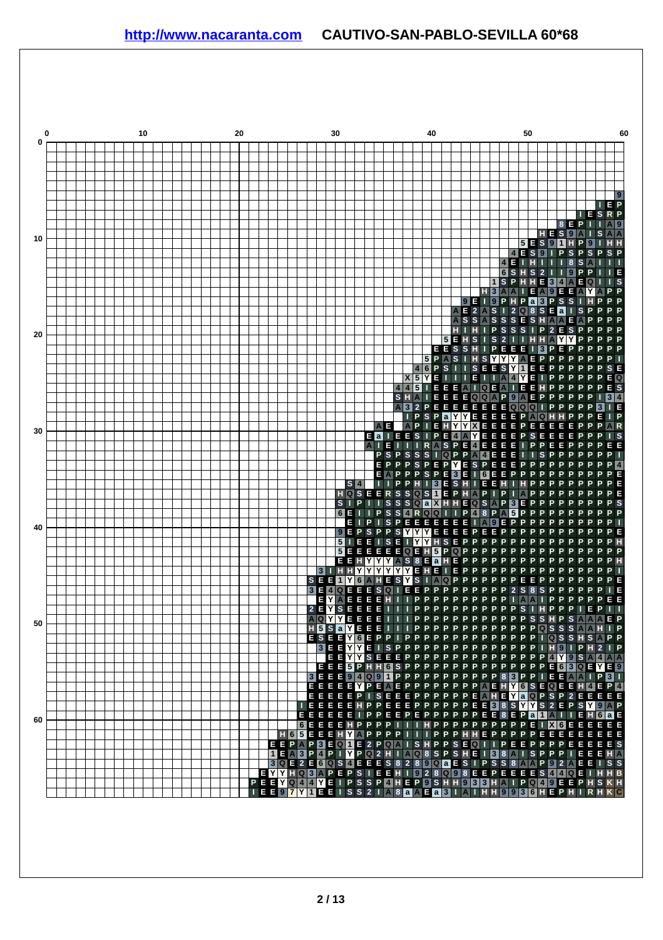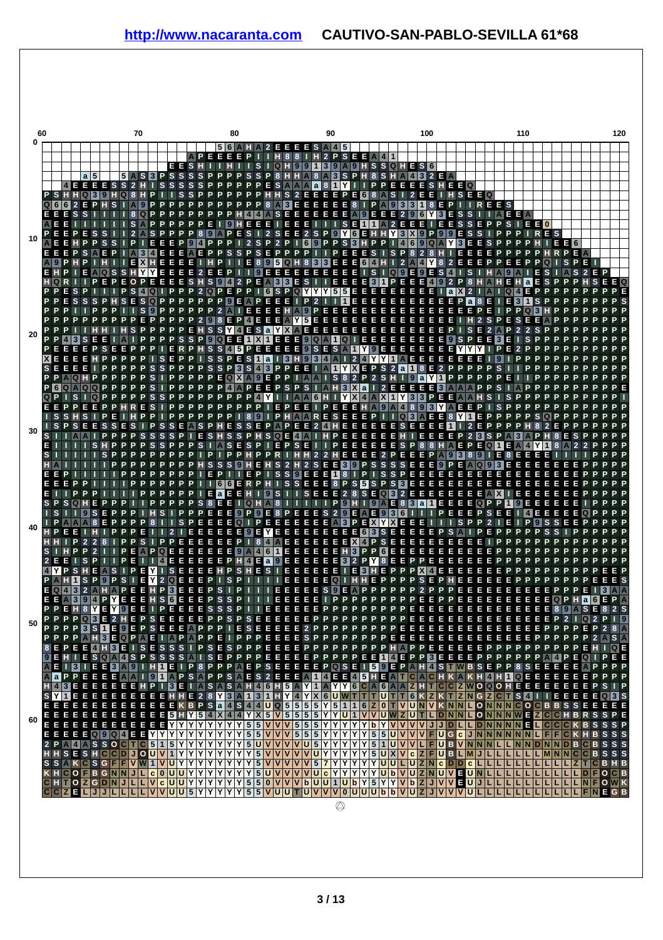| 70<br>100<br>110<br>60<br>80<br>90<br>0<br>$5 6 A H A 2$ E E E E S A 4 5<br>Ξ<br>881H2PS<br>P<br>ш<br>т<br>P<br>Е<br>Е<br>Е<br>Е<br>$A$ <sup>4</sup><br>Е<br>$S I Q H 9 9 1 3 9 A 9 H S S Q H E S G$<br>H<br>П<br>H<br>EES<br>Ш<br>п<br>s <sub>s</sub><br>$\mathbf{s}$<br>$\mathbf{s}$<br>P<br>P<br><b>SSP</b><br>8 H H A 8 A 3 S P H 8 S H A 4 5 2 E A<br>P<br>P<br>a 5<br>5 A <br>$S$ 3 P<br><b>SP</b><br>P<br>Ď<br>P<br>P<br>PE<br>$H \cup S$<br>S S<br>SAAA <b>asty IIPPEEEESHEEQ</b><br>EESS <sub>2</sub><br>Е<br>Е<br><b>ISSPPP</b><br>P<br>P<br>P<br>PHHS2EEEFFEG8ASI2EEIHSEEQ<br>HQ39HQ8<br>$P$  <br>П<br>н<br><b>PP8A3EEEEEE8IPA93318E</b><br>P <sub>P</sub><br>Ó<br>P<br>PPP<br><b>PP</b><br>P<br>PIIREES<br>P<br>PH44ASEEEEEEEA9EEE296Y3<br>118Q<br>P<br>P<br>P<br>S <sub>1</sub><br>P<br>P<br><b>PP</b><br><b>IAEE</b><br>Е<br>Е<br>E S<br>U.<br><b>ES</b><br>S<br>ш<br><b>PEISHEEEIEE</b><br>EIIISE <b>NN</b> 2 EEFTEES<br>Е<br>$\overline{A}$<br>P<br>P<br>P<br>Ε<br>$1$ $1$ S<br>P<br>P<br>$\mathbf{s}$<br><b>PSIEE0</b><br>п<br>ш<br>п<br>EP<br>89APESI2SEE2SP9Y6EHHY3X9P99ESSI<br>P<br>E<br>Ε<br><b>PP</b><br>P<br>12A<br>s<br>P<br>P<br>P<br>P<br><b>IRES</b><br>P<br><b>ESS</b><br>ш<br>10<br>POGPPPI2SP2PIGOPPS3HPP<br>P S<br><b>SIPIEEE</b><br>P<br>Е<br>Е<br>P<br>$1469QAY3E5S$<br>P<br><b>TEE6</b><br>H<br>P<br>PH<br>PPPPIIPEEESISP828HTE<br>E<br>PSE<br><b>AE</b><br>$P$   A<br>3 4<br>E<br>P<br>$\mathbf{P}$<br>Ε<br>E<br>$\mathbf{s}$<br>EAEP<br>s <sub>s</sub><br>E<br>Е<br>P<br>P<br>$\overline{\mathsf{R}}$<br>P<br>Е<br>P<br>PH<br>PE<br>$\blacksquare$<br><b>IIE8950H838EEE64HI2A4Y82E</b><br>E<br>P<br>THTTEX<br>Е<br>EE<br>P<br>Е<br>п<br>P<br>Ε<br>P<br>PQ<br>P<br>н<br>н<br>P<br>Е<br>т<br><b>S</b><br>E<br>PIIDEEEEEEEEEETSIQDEDES4I<br><b>EAOSSHYYEE</b><br>П<br>EE<br>Ε<br>$\mathbf{s}$<br>A9A<br>I E<br>P<br>2E<br>H<br>s<br>s<br>Е<br>Е<br>н<br>E<br>ESH<br>н | 120                                                                           |
|--------------------------------------------------------------------------------------------------------------------------------------------------------------------------------------------------------------------------------------------------------------------------------------------------------------------------------------------------------------------------------------------------------------------------------------------------------------------------------------------------------------------------------------------------------------------------------------------------------------------------------------------------------------------------------------------------------------------------------------------------------------------------------------------------------------------------------------------------------------------------------------------------------------------------------------------------------------------------------------------------------------------------------------------------------------------------------------------------------------------------------------------------------------------------------------------------------------------------------------------------------------------------------------------------------------------------------------------------------------------------------------------------------------------------------------------------------------------------------------------------------------------------------------------------------------------------------------------------------------------------------------------------------------------------------------------------------------------------------------------------------------------------------------------------------------------------------------------------------------------------------------------------------|-------------------------------------------------------------------------------|
|                                                                                                                                                                                                                                                                                                                                                                                                                                                                                                                                                                                                                                                                                                                                                                                                                                                                                                                                                                                                                                                                                                                                                                                                                                                                                                                                                                                                                                                                                                                                                                                                                                                                                                                                                                                                                                                                                                        |                                                                               |
|                                                                                                                                                                                                                                                                                                                                                                                                                                                                                                                                                                                                                                                                                                                                                                                                                                                                                                                                                                                                                                                                                                                                                                                                                                                                                                                                                                                                                                                                                                                                                                                                                                                                                                                                                                                                                                                                                                        |                                                                               |
|                                                                                                                                                                                                                                                                                                                                                                                                                                                                                                                                                                                                                                                                                                                                                                                                                                                                                                                                                                                                                                                                                                                                                                                                                                                                                                                                                                                                                                                                                                                                                                                                                                                                                                                                                                                                                                                                                                        |                                                                               |
|                                                                                                                                                                                                                                                                                                                                                                                                                                                                                                                                                                                                                                                                                                                                                                                                                                                                                                                                                                                                                                                                                                                                                                                                                                                                                                                                                                                                                                                                                                                                                                                                                                                                                                                                                                                                                                                                                                        |                                                                               |
|                                                                                                                                                                                                                                                                                                                                                                                                                                                                                                                                                                                                                                                                                                                                                                                                                                                                                                                                                                                                                                                                                                                                                                                                                                                                                                                                                                                                                                                                                                                                                                                                                                                                                                                                                                                                                                                                                                        |                                                                               |
|                                                                                                                                                                                                                                                                                                                                                                                                                                                                                                                                                                                                                                                                                                                                                                                                                                                                                                                                                                                                                                                                                                                                                                                                                                                                                                                                                                                                                                                                                                                                                                                                                                                                                                                                                                                                                                                                                                        |                                                                               |
|                                                                                                                                                                                                                                                                                                                                                                                                                                                                                                                                                                                                                                                                                                                                                                                                                                                                                                                                                                                                                                                                                                                                                                                                                                                                                                                                                                                                                                                                                                                                                                                                                                                                                                                                                                                                                                                                                                        |                                                                               |
| SOM 2 PEASOESTTEEEE DIPEEE MOZPOHAHEH<br>QPEPPIGSPQYYYGGEEEEEEEE 1 AX 2 1 A 1 QA<br>PEOPEE<br>$\mathbf{s}$<br>$\mathbf Q$<br>$\mathsf{R}$<br>PE<br>H E H a E<br>P<br>P<br>s<br>P                                                                                                                                                                                                                                                                                                                                                                                                                                                                                                                                                                                                                                                                                                                                                                                                                                                                                                                                                                                                                                                                                                                                                                                                                                                                                                                                                                                                                                                                                                                                                                                                                                                                                                                       | P<br>EE                                                                       |
| Ó<br>$P$ $P$<br>20PEP<br>ПП<br>P S 4 Q I<br>P<br>P<br>Ð<br>P<br>Е<br><sub>S</sub><br>P<br>Е<br>P<br>P<br>P<br>PPP SEAPEEE TP 2 TTTLE E E E E E E E E E<br>E<br>Ó<br>P<br>P<br>$\mathbf{s}$<br><b>SP</b><br>SE.<br>S<br>$Q$ $P$<br>P<br>EEP <b>a</b> 8E<br>P<br>P<br>$\mathbf{s}$<br>H<br>$\begin{array}{ c c c c c }\n\hline\n\hline\n\end{array}$<br>s<br>P<br>P                                                                                                                                                                                                                                                                                                                                                                                                                                                                                                                                                                                                                                                                                                                                                                                                                                                                                                                                                                                                                                                                                                                                                                                                                                                                                                                                                                                                                                                                                                                                      | P<br>P<br>P<br>P                                                              |
| <b>AI EEEEHAOPEEEEEEEEEEEEEEEEPE</b><br>11S<br>$\overline{9}$<br>P<br><b>PP</b><br>P<br>Ó<br>P P 2<br>P <sub>P</sub><br>P<br>P<br>P<br>P<br>P<br><b>TIL</b><br>ш<br> Q 3 <br>P<br>298EP4EEEA <mark>Y</mark> 6EEEEEEEEEEEEEEEIH2S<br>HSS <mark>Y</mark> 4ES <mark>aYX</mark> AEEEEEEEEEEEEEEPISE2<br>Е<br>Ó<br>P<br>P<br><b>PP</b><br>P<br>P<br>P<br>P<br>P<br>P<br>P<br>P<br>P<br>P<br>P<br>E <sub>S</sub><br>Е<br>P                                                                                                                                                                                                                                                                                                                                                                                                                                                                                                                                                                                                                                                                                                                                                                                                                                                                                                                                                                                                                                                                                                                                                                                                                                                                                                                                                                                                                                                                                   | P                                                                             |
| S E 2 A<br>P<br><b>IHHIHS</b><br>E<br>$\overline{2}$<br>$\overline{2}$<br>P<br>P<br>P<br>P<br>P<br>P<br>P<br>s<br>P<br>20<br>SPOOLETXTEEE OQATQIEEEEEEEEE 9S<br>$\overline{P}$<br>$\blacksquare$ $\blacksquare$ $\blacksquare$ $\blacksquare$<br>P<br>P<br>$\overline{  A  }$<br>P<br>P<br>$\mathbf{s}$<br>Е<br>П<br>s<br>P<br>43S<br>Е<br>P                                                                                                                                                                                                                                                                                                                                                                                                                                                                                                                                                                                                                                                                                                                                                                                                                                                                                                                                                                                                                                                                                                                                                                                                                                                                                                                                                                                                                                                                                                                                                           | P<br>P                                                                        |
| $P$   E<br>$H\overline{S}$<br>S 4 5 P E E E E E 9 S E S 4 1 Y 9 E E E E E E E E E Y Y Y I P<br>$R$ $P$<br>E<br>EEE<br>PSE<br>P<br>P<br>P<br>Ε<br>E P<br>$\overline{\mathbf{2}}$<br>P<br>$\overline{1}$ s<br>$I$ SE<br>SPES1aI3H934AI24YY1AEEEEEEEEI9<br>PPP<br>P<br>P<br>P<br>$\vert x \vert$<br>Е<br>Е<br>EHP<br>P<br>P<br>P<br>P<br>Е                                                                                                                                                                                                                                                                                                                                                                                                                                                                                                                                                                                                                                                                                                                                                                                                                                                                                                                                                                                                                                                                                                                                                                                                                                                                                                                                                                                                                                                                                                                                                                | P<br>P                                                                        |
| SPOSTSPPEETATYKEPS20T8E2P<br>EQXA9EPPIAAIS82P2SHI9aYIP<br>P<br>P<br>s s<br>$\overline{P}$<br>P<br>$\frac{P}{P}$<br>Е<br>$\mathsf{I}$   $\mathsf{P}$<br><b>PP</b><br>P<br><b>PP</b><br>P<br>ø<br>Е<br>Е<br>Е<br>P<br>P<br>S<br>P<br>P<br>s<br>$\overline{P}$<br>P<br>$\overline{P}$<br>P<br>$\overline{P}$<br>$\mathbf{s}$<br>т<br><b>PP</b><br>P <sub>P</sub><br>P<br>P<br>P <sub>P</sub><br>P<br>P<br><b>QH</b><br>P<br>P<br>Е<br>P<br>P                                                                                                                                                                                                                                                                                                                                                                                                                                                                                                                                                                                                                                                                                                                                                                                                                                                                                                                                                                                                                                                                                                                                                                                                                                                                                                                                                                                                                                                              | P<br>P<br>P<br>P                                                              |
| P <sub>P</sub><br>P<br><b>4APEE</b><br>PSPSIAH3XaI2EEEEE3AAA<br>$\overline{P}$<br>$\overline{P}$<br>$\overline{P}$<br>$\mathbf{s}$<br>P<br>s<br>P<br>P<br>$6QAQQ$<br>P<br>P <sub>P</sub><br>т<br><b>PP</b><br>$\overline{A}$<br>P<br>P<br>P<br>P<br>$P$ $P$ $P$ $P$ $P$<br>PZYIIAA6HIYX4AX <mark>1Y33PEEAA</mark> HS<br>s <sub>s</sub><br>P<br>P<br>P<br>P<br>P<br>т<br>$\overline{Q}$<br> S <br>$\overline{Q}$<br>P<br>P<br>P<br>$\mathbf{s}$<br>P<br>P<br>P<br>P                                                                                                                                                                                                                                                                                                                                                                                                                                                                                                                                                                                                                                                                                                                                                                                                                                                                                                                                                                                                                                                                                                                                                                                                                                                                                                                                                                                                                                     | P<br>P<br>P                                                                   |
| $\mathsf{P}$<br>P P<br>PIEPEETPEEEHAGA4808VAEE<br>PIPHAARESEEEPIIQSAEE8VA<br>EPAPEE24HEEEEEEESEEEE<br>Е<br>$\sf{s}$<br>т<br>$\overline{P}$<br>P<br><b>PP</b><br><b>HR</b><br>P<br>P<br>Ε<br>PPE<br>P<br>P<br>P<br>P<br>п<br>S<br>P<br>P<br>P<br>P<br>P<br>Е<br>Е<br>P   8   9  <br>P <sub>P</sub><br>P<br>P<br>P<br>P<br>P<br>P<br>P<br>s<br>s<br>$H$ <sub>S</sub><br>П<br>P<br>Е<br>тн<br>т<br>P<br>E P<br>P<br>P<br>S<br>Q<br>п                                                                                                                                                                                                                                                                                                                                                                                                                                                                                                                                                                                                                                                                                                                                                                                                                                                                                                                                                                                                                                                                                                                                                                                                                                                                                                                                                                                                                                                                      | P<br>P<br>P                                                                   |
| $S$ $F$ $A$<br>EASPHES<br>EP<br>S E<br><b>SES</b><br>П<br>$\mathbf{s}$<br>P<br>H 8 2<br>s<br>P<br>E <sub>S</sub><br>P<br>s<br>P<br>P<br>Е<br>п<br>P<br>30<br>$\overline{\mathbf{s}}$<br>PPP<br>s <sub>s</sub><br>PIE<br>$\mathbf{s}$<br><b>AAIP</b><br>$\mathbf{s}$<br>п<br>8<br>Е                                                                                                                                                                                                                                                                                                                                                                                                                                                                                                                                                                                                                                                                                                                                                                                                                                                                                                                                                                                                                                                                                                                                                                                                                                                                                                                                                                                                                                                                                                                                                                                                                     | P<br>P                                                                        |
| SHSSPHSQEMATHPEEEEEEHTEEEEP20SPA0APH<br>IASESPIEPSETTPEEEEEESP00HAEPEQ <mark>H</mark> EA4V<br>PIPPHPPRTHH22HEEEE2PEEEPA0080TE0EEEE<br>¢<br>H<br>P<br>P<br>$\sf{s}$<br>$\mathbf{s}$<br>P<br>S <sub>1</sub><br>$\mathbf{s}$<br>$\mathsf{P}$<br>P<br>P<br>Е<br>TТ<br>8<br>P<br>$\overline{P}$<br>P<br>P<br>P<br>P<br>P<br>П<br><sub>S</sub><br>$\vert \vert$ s<br>P                                                                                                                                                                                                                                                                                                                                                                                                                                                                                                                                                                                                                                                                                                                                                                                                                                                                                                                                                                                                                                                                                                                                                                                                                                                                                                                                                                                                                                                                                                                                       | P                                                                             |
| P<br>P<br>S S O H E H S 2 H 2 S E E 8 O P S S S S E E E O P E A Q O 8 E<br>P<br>P<br>P<br>P<br>P<br>P<br>P<br>$H$ S<br>ET<br>A<br>п<br>n<br>Ε<br>Е<br>Е<br>Е<br>п<br>Е<br>Е<br>Е<br>PPP<br>P<br>т<br>P <sub>P</sub><br>Ε<br>Е<br>Е<br>F<br>Е<br>P<br><b>TILL</b><br>Е<br>Е<br>Е<br>Е<br>п                                                                                                                                                                                                                                                                                                                                                                                                                                                                                                                                                                                                                                                                                                                                                                                                                                                                                                                                                                                                                                                                                                                                                                                                                                                                                                                                                                                                                                                                                                                                                                                                              | P                                                                             |
| PPIEPITEPISSTEEEMBIPISSPEEEEEEEEEEE<br>PPIEDGERPHISSEEEBPSGSPSGEEEEEEEEEE<br>PPIEDEEHIOSIISEEE28SEOG2EEEEEEEEAK<br>PPP<br>P<br>E <sub>P</sub><br>$1$ $1$ $P$<br>Ε<br>Е<br>Е<br>Е<br>Е<br>Е<br>P<br>п<br>Е<br>Е<br>Е<br>п<br>PPPIEAEEHI9SII<br>P<br><b>PP</b><br>IPPI<br>П<br>Ε<br>Е<br>Ε<br>E<br>Е<br>TТ<br>Е<br>Ε<br>E                                                                                                                                                                                                                                                                                                                                                                                                                                                                                                                                                                                                                                                                                                                                                                                                                                                                                                                                                                                                                                                                                                                                                                                                                                                                                                                                                                                                                                                                                                                                                                                | P<br>P<br>P                                                                   |
| <b>IPP</b><br>P<br><b>IIIIP 9H I 9A E 8 3 8 1 E E E E E O P P 19</b><br>EE<br>Е<br>$\mathbf{s}$<br>P<br><b>SOHEP</b><br>P<br>P I<br>Е<br>Е<br>Е<br>1195E<br>P<br><b>PP</b><br>$I$ H S<br>П<br>EPSE<br>$E$   $4$<br>Е<br>п<br>s<br>Е<br>Е<br>Е<br>E<br>$\mathbf Q$                                                                                                                                                                                                                                                                                                                                                                                                                                                                                                                                                                                                                                                                                                                                                                                                                                                                                                                                                                                                                                                                                                                                                                                                                                                                                                                                                                                                                                                                                                                                                                                                                                      |                                                                               |
| $P$ $P$ <sup>2</sup><br>8 E<br>P<br><b>PP</b><br>т<br>$\begin{array}{c} 1 \text{ } S \text{ } P \\ 2 \text{ } I \text{ } E \end{array}$<br>П<br>PQ<br>$\mathbf{s}$<br>п<br>P<br>$A$ $A$ $A$<br>P<br>$\bf{8}$<br>E II<br>s<br>Е<br>Е<br>P<br>40<br>Ŧ<br>HI<br>P<br>PPEI<br>$\overline{2}$<br>PE<br>P<br><b>PP</b><br>PP<br>S<br>S<br>P<br>EET<br>т<br>P                                                                                                                                                                                                                                                                                                                                                                                                                                                                                                                                                                                                                                                                                                                                                                                                                                                                                                                                                                                                                                                                                                                                                                                                                                                                                                                                                                                                                                                                                                                                                 | P<br>P                                                                        |
| P <sub>P</sub><br>$S$   $P$<br>P<br>$\mathbf{I}$ $\mathbf{P}$<br>P<br>P<br>P<br>P<br>P<br>m<br>IP22<br>п<br>P<br>P<br>P<br>$\boldsymbol{8}$<br><b>APQE</b><br>EE<br>PE<br>$\overline{P}$<br>P<br>P<br>$\mathbf{s}$<br>P<br>P<br>$\overline{2}$<br>P<br>P<br>P<br>P<br>P<br>P<br>п<br>н<br>п<br>п                                                                                                                                                                                                                                                                                                                                                                                                                                                                                                                                                                                                                                                                                                                                                                                                                                                                                                                                                                                                                                                                                                                                                                                                                                                                                                                                                                                                                                                                                                                                                                                                       | P<br>P                                                                        |
| P<br>PEIII<br>EE<br>$\mathsf{P}$<br>P<br>$\overline{2}$<br>п<br>$\mathbf{s}$<br>п<br>ш<br>Е<br>P<br>P<br>P<br>P<br>P<br>P<br>P<br>P<br>Е<br>Е<br>PSHE<br><b>SIPEYI</b><br>$\mathbf{s}$<br>EE<br>ø<br>P<br>$4$ <sup>Y</sup><br>A<br>P<br>P<br>P<br>P<br>P<br>P<br>P<br>P                                                                                                                                                                                                                                                                                                                                                                                                                                                                                                                                                                                                                                                                                                                                                                                                                                                                                                                                                                                                                                                                                                                                                                                                                                                                                                                                                                                                                                                                                                                                                                                                                                | P<br>P<br>Ε<br>Е                                                              |
| <b>PPPSEPHE</b><br>$S$ $P$ $9$<br>PSIEY2Q<br>EE<br>EPIS<br>1111E<br>H1<br>PI<br>EEE<br>E<br>P<br>P<br>P<br>P<br>P<br>P<br>н<br>P<br>Е<br>PPP<br>P<br>PPE<br>EQ<br>$\overline{2}$<br>т<br>п<br>Ε<br>P<br>P<br>P                                                                                                                                                                                                                                                                                                                                                                                                                                                                                                                                                                                                                                                                                                                                                                                                                                                                                                                                                                                                                                                                                                                                                                                                                                                                                                                                                                                                                                                                                                                                                                                                                                                                                         | E <sub>S</sub><br>Е<br>$3$ $A$ $A$                                            |
| E E E Q I H H E P<br>E E E S D E A P P P P<br>E E L P P P P P P P<br>E E P P P P P P P P<br><b>AHAPEEHP</b><br>$\overline{3}$<br>EE<br>EP<br>TEEE<br>2P<br>EEE<br>4 3 <br>S<br>E<br>EE<br>E<br>E<br>Ε<br>EEEHS<br>EEE<br>E E<br>$A$ 3 9 4 $P$ Y<br>6 3 3<br>E P<br>S<br>$P$  <br>PPPEE<br>P<br>EEE<br>S<br>TП<br>PE<br>F<br>EE<br>Ε<br>E<br>E<br>$\mathbf Q$<br>H<br>P<br> a 6                                                                                                                                                                                                                                                                                                                                                                                                                                                                                                                                                                                                                                                                                                                                                                                                                                                                                                                                                                                                                                                                                                                                                                                                                                                                                                                                                                                                                                                                                                                         | E P                                                                           |
| Y E Y 9 E<br>E <sub>S</sub><br>$\sf{s}$<br>$\mathbf{s}$<br>E<br>EE<br>P<br>$\overline{P}$<br>E<br>E<br>E<br>EE<br>$\bf{8}$<br>P<br>P<br>Ε<br>П<br>$\bf 8$<br>EI<br>P<br>Е<br>EE<br>P<br>$\mathbf{L}$<br>T E<br>E<br>Ε<br>E<br>Ε<br>E<br>Е<br>Ε<br>Ε<br>Ε<br>Ε<br>$\overline{ \mathfrak{g} }$<br>$\overline{A}$<br>s<br>EPP<br>P<br>$P \t{3} E 2 H E$<br>P<br>$S$ E<br>Ε<br>EE<br>EP<br>P<br>$\sf{s}$<br>PSEE<br>EEE<br>P<br>P<br>P<br>P<br>P<br>P<br>$\mathsf{P}$<br>P<br>E<br>EE<br>E<br>EE<br>P<br>P<br>EE<br>Ε<br>Е<br>EE<br>Е<br>E<br>Е<br>P<br>$\overline{2}$<br>$\overline{Q}$<br>п<br>$\overline{2}$<br>50                                                                                                                                                                                                                                                                                                                                                                                                                                                                                                                                                                                                                                                                                                                                                                                                                                                                                                                                                                                                                                                                                                                                                                                                                                                                                      | $\overline{2}$<br>S<br>8<br>P<br>п                                            |
| P <sub>P</sub><br>E9E<br>P<br>S <sub>E</sub><br>E<br>$\begin{array}{c}\nE \cap P \\ P \cap P\n\end{array}$<br>P<br>P<br>IESEE<br>EEE<br>$\overline{2}$<br>P<br>P <sub>P</sub><br>P<br>P<br>P<br>$\mathbf{P}$<br>E<br>E<br>EE<br>E<br>EE<br>E<br>E<br>P<br>P<br><b>P351</b><br>EE<br>Ε<br>EE<br>EP<br>P<br>P<br>P<br>Е<br>P<br>$\mathbf{s}$<br><b>PAHSEQP</b><br>$\blacktriangle$<br>$\overline{\phantom{a}}$   A<br>P <sub>P</sub><br>E<br>$\overline{P}$<br>PPE<br>EEE<br>P <sub>P</sub><br>P<br>P <sub>P</sub><br>P<br>P<br>E<br>EEEE<br>E<br>EE<br>EE<br>E<br>EE<br>E<br>P<br>P<br>P<br>P<br>P<br>Ε<br>Т<br>Ε<br>P<br>P<br>P<br>P<br>$\overline{2}$                                                                                                                                                                                                                                                                                                                                                                                                                                                                                                                                                                                                                                                                                                                                                                                                                                                                                                                                                                                                                                                                                                                                                                                                                                                 | $\overline{2}$<br>8<br>A<br>s                                                 |
| 4H3E<br>$\mathbf{s}$<br>E <sub>S</sub><br>$\boldsymbol{\mathsf{s}}$<br>$\boldsymbol{\mathsf{s}}$<br>$\overline{P}$<br>$\mathbf{s}$<br>P<br>P<br>$\mathsf{P}$<br>E E<br>P<br>P P<br>P<br>P <sub>P</sub><br>$\mathsf{P}$<br><u>PPHAPPE</u><br>E <b>n</b> deppe<br>E P<br>Ε<br>т<br>$\mathbf{s}$<br>Ε<br>E<br>E<br>EEE<br>Ε<br>P<br>P <sub>P</sub><br>P<br>P<br>P<br>P<br>P<br>P<br>Е<br>8<br>Е<br>P<br>Е<br>н<br>$E$ S<br><b>PSS</b><br>Т<br>E <sub>P</sub><br>P<br>P<br>PEEEEE<br>P<br>P<br>P<br>P <sub>P</sub><br>Ε<br>EEE<br>P <sub>P</sub><br>P<br>P<br>P<br>P<br>E<br>H<br>п<br>$Q$ <b>A</b> <sup>1</sup><br>$\mathbf{s}$<br>S<br>$ \mathbf{A} $<br>$\mathbf{s}$<br>E<br>P<br>$\overline{A}$<br>$\overline{\mathbf{4}}$<br>P<br>$\overline{\mathbf{Q}}$<br>$\mathbf{Q}$<br>Е                                                                                                                                                                                                                                                                                                                                                                                                                                                                                                                                                                                                                                                                                                                                                                                                                                                                                                                                                                                                                                                                                                                        | Iо<br>п<br>P<br>E E                                                           |
| <b>AE</b><br><b>AH</b><br>$E$ $E$ $3$<br>$\overline{A}$ 9<br>$H$ <sup>1</sup><br>P<br>P<br>$\mathsf P$<br>SEEE<br>E E P Q<br><b>SE</b><br>159EP<br>$\overline{4}$<br>T W<br>$\mathbf{s}$<br>P<br>S<br>$\overline{A}$<br>$\overline{3}$<br>П<br>Т<br>Ε<br>п<br>P<br>$\overline{\mathbf{8}}$<br>P<br>$\mathbf{s}$<br>B<br>Е<br>P<br>$\pmb{8}$<br>Е<br>Ε<br>E<br>Е<br>E<br>Е<br>П<br>P<br>C A C H<br>91<br>$P$ <sub>S</sub><br>$\overline{P}$<br>P<br>$\mathbf{s}$<br>AES2EEEA14EE45HE<br><b>AT</b><br>$K \overline{A} K$<br>H1Q<br><b>PPEEEEAA</b><br>П<br>A<br>$\blacktriangle$<br>$\mathbb{H}$ 4<br>Ε<br>E<br>E<br>Ε<br>E<br>E<br>Ε<br>P<br>$\mathbf{a}$                                                                                                                                                                                                                                                                                                                                                                                                                                                                                                                                                                                                                                                                                                                                                                                                                                                                                                                                                                                                                                                                                                                                                                                                                                               | P<br>P<br>P<br>P<br>P                                                         |
| $\overline{\mathbf{A}}$<br>A S A H 4 6 H<br>Y 3 A 1 3 1 H<br>$5 A Y 1 A Y 6$<br>CA6AAZ<br><b>HT</b><br>$\overline{\mathbf{c}}$<br><b>CZWOQ</b><br>E<br>E<br>E<br>Ε<br>E<br>E E<br>$H$ P $\perp$<br>$\vert$ 3<br>П<br>$\mathbf{s}$<br><b>OHE</b><br>E<br>E<br>E<br>E<br>E<br>н<br>$\mathbf 3$<br>Е<br>Е<br>Е<br>$\overline{\mathbf{4}}$<br>P<br>EE<br>HE 28<br>Y4YX6UWTTTUTT6KZ<br>$\mathbf k$<br><b>TZNGZ</b><br>Y<br>$\overline{1}$<br>E<br>E<br>E<br>Е<br>E<br>E E<br>Е<br>H<br>$CII$ s<br>$\vert$ 4<br><b>TIE</b><br>E<br>E<br>E<br>$\vert$ S<br>Е                                                                                                                                                                                                                                                                                                                                                                                                                                                                                                                                                                                                                                                                                                                                                                                                                                                                                                                                                                                                                                                                                                                                                                                                                                                                                                                                                  | s<br>п<br>$\overline{Q}$<br><b>3</b> S                                        |
| E E<br>Sa4S44UQ5555Y5116Z0TVUNVKNNLONNNCOCB<br>Е<br>Ε<br>EE<br>Е<br>E<br>B<br>S<br>E<br>Е<br>Ε<br>Ε<br>$\mathbf{s}$<br>Е<br>E E<br><b>ONNNWEZ</b><br>Е<br>E<br>Ε<br>Е<br>E<br>EE<br>E<br>E<br>$\overline{\mathbf{c}}$<br>$\overline{\mathbf{c}}$<br>H<br>B<br>R<br>S<br>60                                                                                                                                                                                                                                                                                                                                                                                                                                                                                                                                                                                                                                                                                                                                                                                                                                                                                                                                                                                                                                                                                                                                                                                                                                                                                                                                                                                                                                                                                                                                                                                                                             | Е<br>E E<br>PE<br>s                                                           |
| YYYYYYYY55VVV555YYYYYYbYVVVVJJDLLDNNNN<br>Е<br>E E<br>E<br>$\overline{c}$<br>$\overline{\mathbf{c}}$<br>$\overline{\mathsf{K}}$<br>B<br>Е<br>Е<br>E<br>E<br>E<br>Е<br>Е<br>O<br>$\blacksquare$<br>$\mathbf{s}$<br>Е<br>YYYYYYYYY55VVV555YYYYY55UVVVFUGCJNNNNN<br>$EQ9Q4E$<br>Ε<br>YYY<br>МL<br>F<br>F<br>$\overline{\mathsf{K}}$<br>H<br>Е<br>Ε<br>Е<br>$ {\bf C} $<br>Е<br>в                                                                                                                                                                                                                                                                                                                                                                                                                                                                                                                                                                                                                                                                                                                                                                                                                                                                                                                                                                                                                                                                                                                                                                                                                                                                                                                                                                                                                                                                                                                          | $\mathbf{s}$<br>$\mathbf{s}$<br>P<br>$\sf{s}$<br>$\overline{\mathbf{s}}$<br>s |
| $A$ 4 A S<br>$5 \mid 1 \mid 5$<br>YYYYYYYYY5UVVVVU5YYYYY51UVVLFUBVNNNLLNN<br>$\overline{2}$<br>$S$ o $C$ $T$ $C$<br>$N$ D<br>P<br>DN<br>В<br>C<br>B<br>Ħ<br><b>SES</b><br>O<br>$L$ M<br>$N$ $N$<br>$\overline{\mathbf{c}}$<br>Η<br>C<br>B                                                                                                                                                                                                                                                                                                                                                                                                                                                                                                                                                                                                                                                                                                                                                                                                                                                                                                                                                                                                                                                                                                                                                                                                                                                                                                                                                                                                                                                                                                                                                                                                                                                              | $\sf{s}$<br><b>S</b><br>s<br>s<br><b>S</b><br>s                               |
| τ<br>τ<br><b>LIZ</b><br>KC<br>L<br><sub>S</sub><br>s<br>O<br>T<br>$\mathbf c$<br>$\overline{\mathbf{c}}$<br>$\circ$ $\Box$<br>uuu<br>CCC<br>DF<br>H                                                                                                                                                                                                                                                                                                                                                                                                                                                                                                                                                                                                                                                                                                                                                                                                                                                                                                                                                                                                                                                                                                                                                                                                                                                                                                                                                                                                                                                                                                                                                                                                                                                                                                                                                    | B<br>н<br>B<br>$\circ$<br>$C$ B                                               |
| <b>BBBBB</b><br>$\circ$ $\overline{z}$<br><b>NFO</b><br>O<br>E<br>L L F N<br>c/c<br>EL<br>ШL                                                                                                                                                                                                                                                                                                                                                                                                                                                                                                                                                                                                                                                                                                                                                                                                                                                                                                                                                                                                                                                                                                                                                                                                                                                                                                                                                                                                                                                                                                                                                                                                                                                                                                                                                                                                           | $\overline{W}K$<br>Е<br>G <sub>B</sub>                                        |
| ♤                                                                                                                                                                                                                                                                                                                                                                                                                                                                                                                                                                                                                                                                                                                                                                                                                                                                                                                                                                                                                                                                                                                                                                                                                                                                                                                                                                                                                                                                                                                                                                                                                                                                                                                                                                                                                                                                                                      |                                                                               |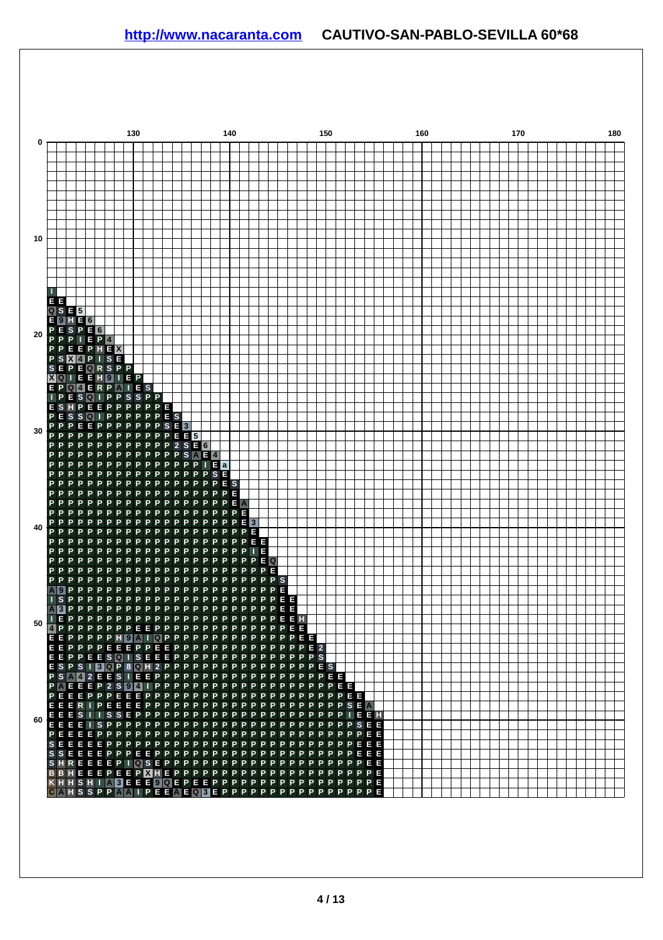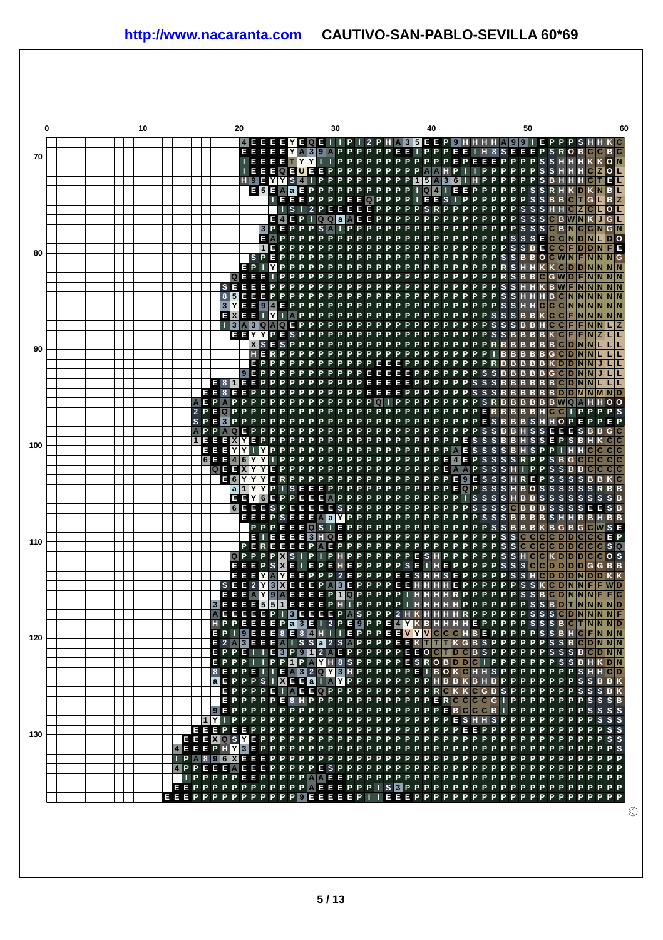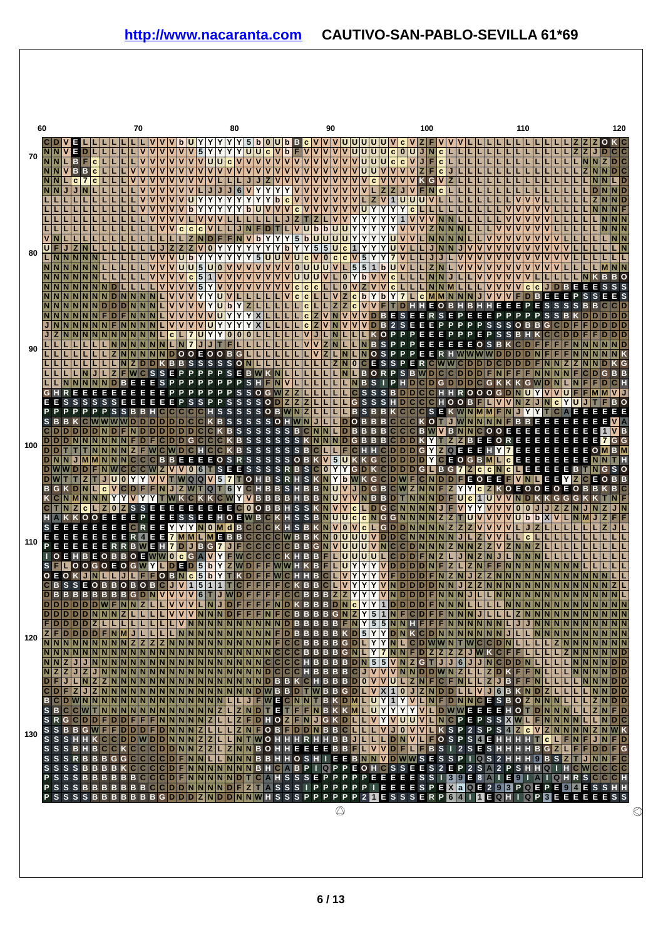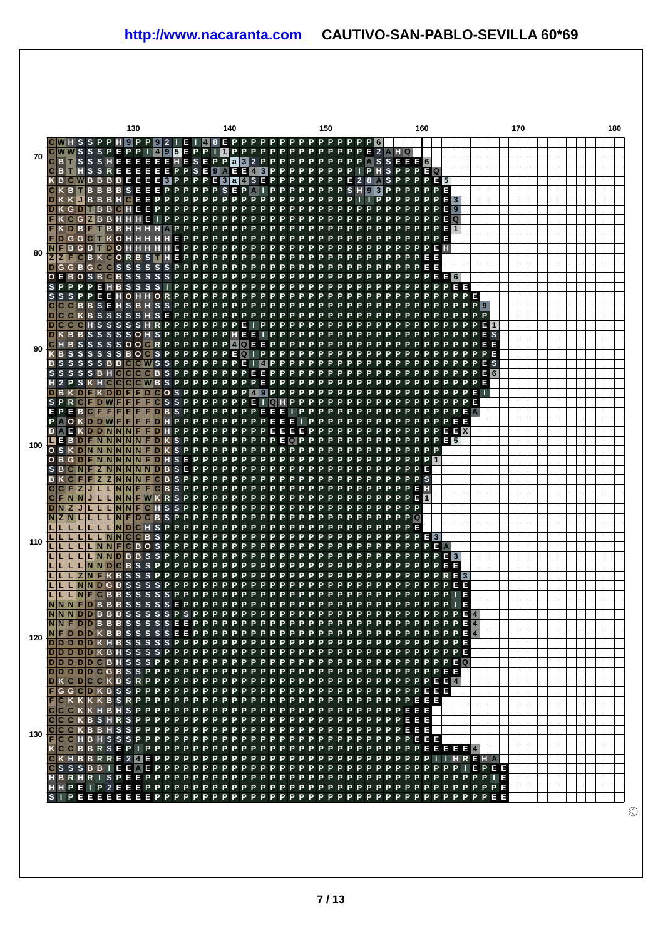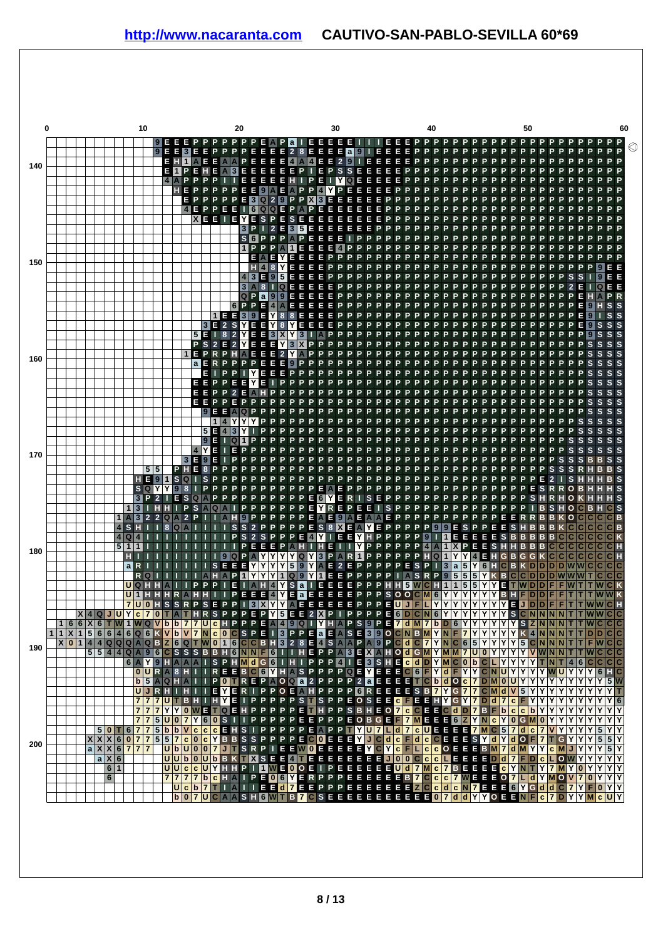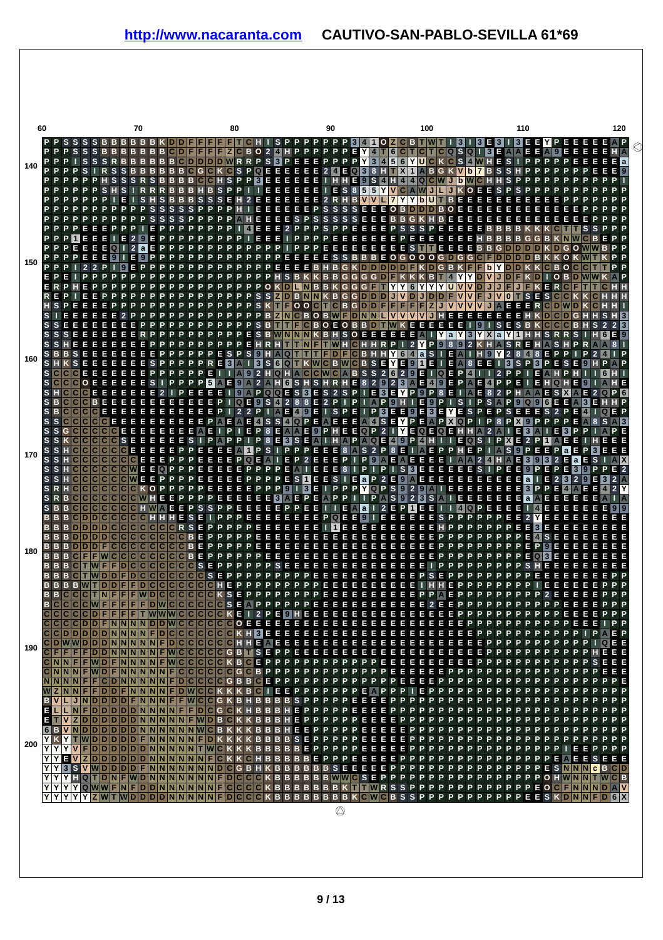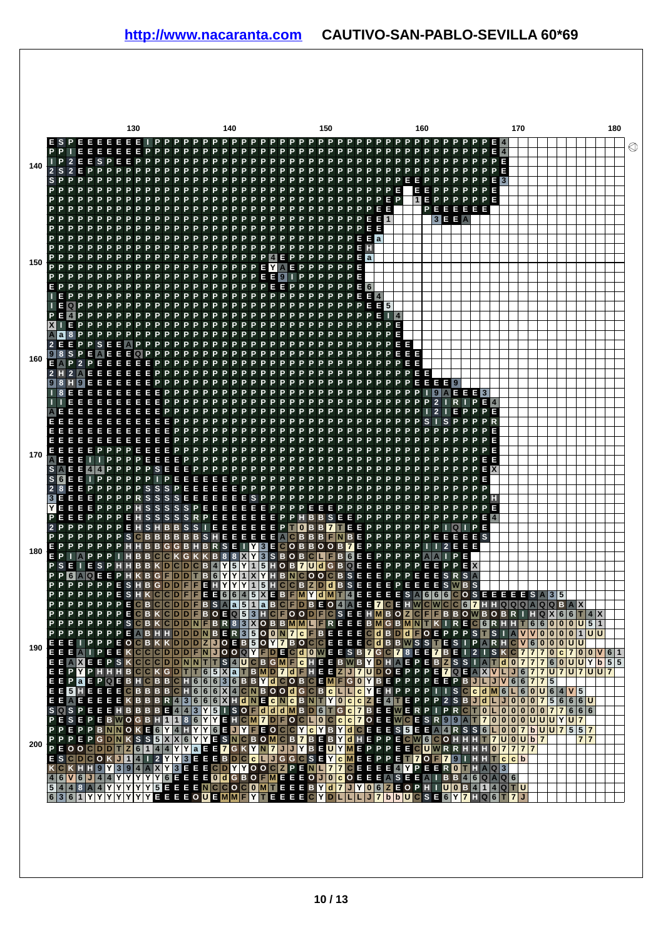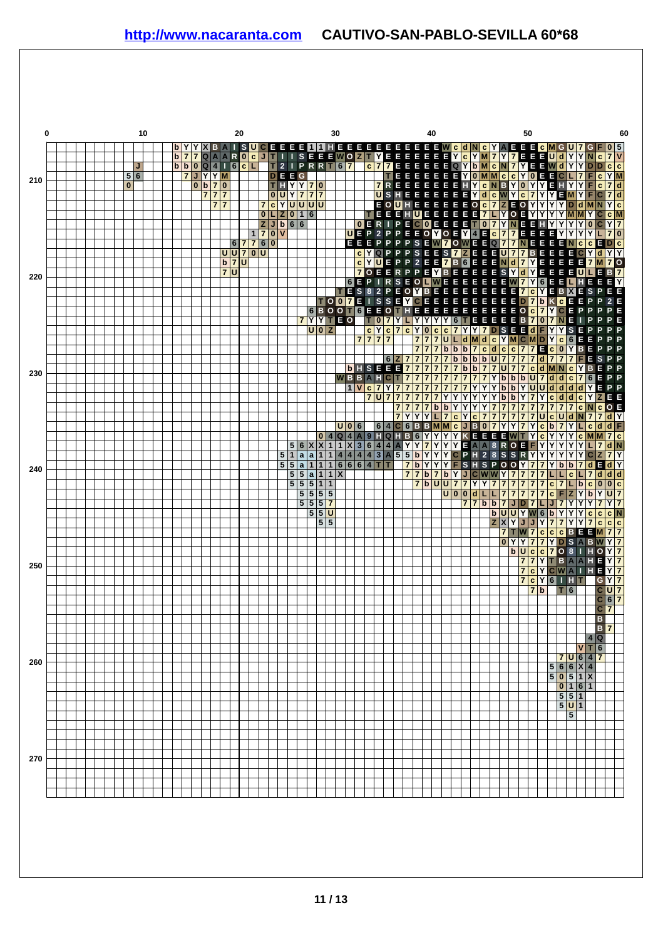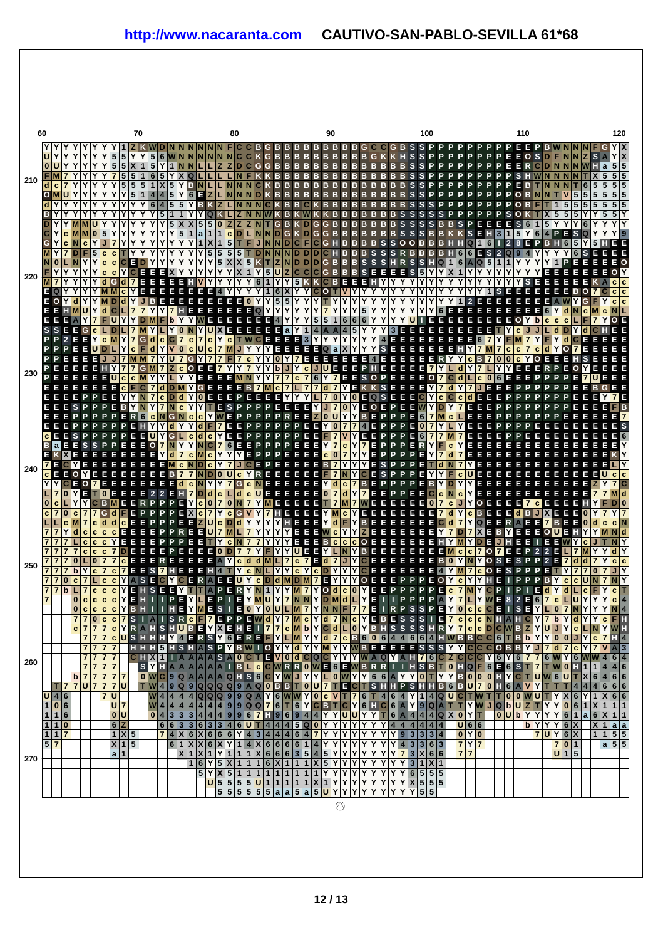|     | 60                               |                                                  |                                              |                                        |                                                                  |                                      |                                                                                                               | 70                                             |                                    |                                                   |                                           |                                                    |                                                               |                                           |                             |                                                              | 80                                   |                                           |                |                                    |                                  |        |           |                     |                       | 90                                          |                |                                                                                                                                                                                                                                      |                                                                       |                              |                                               |                |                            |                                                    | 100                                                                                                                                                                                                                                                 |                              |                         |                         |                                                                                    |                                  |                                                                           |                                                  |                     | 110                          |                                                      |                                |                                             |                           |                                 |                                            |                              |                         |                                               | 120                              |
|-----|----------------------------------|--------------------------------------------------|----------------------------------------------|----------------------------------------|------------------------------------------------------------------|--------------------------------------|---------------------------------------------------------------------------------------------------------------|------------------------------------------------|------------------------------------|---------------------------------------------------|-------------------------------------------|----------------------------------------------------|---------------------------------------------------------------|-------------------------------------------|-----------------------------|--------------------------------------------------------------|--------------------------------------|-------------------------------------------|----------------|------------------------------------|----------------------------------|--------|-----------|---------------------|-----------------------|---------------------------------------------|----------------|--------------------------------------------------------------------------------------------------------------------------------------------------------------------------------------------------------------------------------------|-----------------------------------------------------------------------|------------------------------|-----------------------------------------------|----------------|----------------------------|----------------------------------------------------|-----------------------------------------------------------------------------------------------------------------------------------------------------------------------------------------------------------------------------------------------------|------------------------------|-------------------------|-------------------------|------------------------------------------------------------------------------------|----------------------------------|---------------------------------------------------------------------------|--------------------------------------------------|---------------------|------------------------------|------------------------------------------------------|--------------------------------|---------------------------------------------|---------------------------|---------------------------------|--------------------------------------------|------------------------------|-------------------------|-----------------------------------------------|----------------------------------|
|     | Ū                                |                                                  | YYYYYYYY1Z<br>Y Y Y                          |                                        | YY                                                               |                                      |                                                                                                               | 55YY5                                          |                                    | $K W D N N N N N F C C $                          |                                           | 6WNNNNNNCC                                         |                                                               |                                           |                             |                                                              |                                      |                                           |                | $K$ $G$                            | B                                | В      | B         | B                   | B                     | B                                           | B              | <b>BGBBBBBBBBB</b><br>В                                                                                                                                                                                                              | B<br>B                                                                | G<br>G                       | $\mathbf k$                                   | $\sf K$        | C C G B S<br>H             | S                                                  | S <sub>P</sub><br>$\mathbf{s}$                                                                                                                                                                                                                      | P<br>P<br>P                  | P<br>P                  | P<br>P                  | P<br>P                                                                             | P<br>P                           | P<br>P                                                                    | P<br>P                                           | P<br>E              | E <sub>O</sub>               | EEPB<br>$\sf{s}$                                     | D                              |                                             |                           |                                 | <b>NNZS</b>                                |                              | A                       | $W\vert N\vert N\vert F\vert G\vert Y\vert X$ | YX                               |
|     | $\overline{0}$                   | U                                                | Y                                            | YYY                                    | Y                                                                | 5 5                                  |                                                                                                               | 1<br>$\mathbf{x}$                              |                                    | 5Y                                                |                                           | $1$ NNLL                                           |                                                               |                                           |                             | $ZZ$ D                                                       |                                      | $\overline{c}$                            |                | $G$ $G$                            | B                                | в      | B         | B                   | B                     | B                                           | B              | В                                                                                                                                                                                                                                    | B<br>B                                                                | B                            | B                                             | B              | B                          | S                                                  | $\mathbf{s}$                                                                                                                                                                                                                                        | P<br>P                       | P                       | P                       | P                                                                                  | P                                | P                                                                         | P<br>P                                           | Ε                   | E<br>$\mathbb{R}$            | $\overline{c}$                                       | D                              |                                             |                           |                                 | <b>NNNW</b>                                | Η                            | $\mathbf{a}$            | 5                                             | 5                                |
| 210 | F<br>$\overline{\mathsf{d}}$     | M<br>$\mathbf c$                                 | $\overline{7}$<br>Y<br>$\overline{7}$<br>Y   | Y<br>Y                                 | ĪΥ<br>Y<br>Y                                                     | $\sqrt{7}$<br>Y5                     | $\vert 5 \vert$                                                                                               | $\overline{\mathbf{5}}$<br>5                   |                                    | $165$<br>51X5                                     |                                           | YXQLLLLNF<br>▼                                     | <b>BNL</b>                                                    |                                           |                             | ETNEKK                                                       |                                      |                                           |                |                                    | B<br>B                           | B<br>B | B<br>B    | B<br>B              | B<br>B                | $\,$ B<br>B                                 | B<br>B         | B<br>B<br>B                                                                                                                                                                                                                          | B<br>B<br>B<br>B                                                      | B<br>B                       | B<br>B                                        | B<br>B         | B<br>B                     | $\mathbf{s}$<br>S                                  | s<br>S                                                                                                                                                                                                                                              | P<br>P<br>P<br>P             | P<br>P                  | P<br>P                  | P<br>P                                                                             | P<br>P                           | P<br>P                                                                    | P                                                | P<br>P<br>P         | S<br>E<br>B                  | H                                                    | $\overline{\mathsf{w}}$ N<br>T |                                             |                           | NNN<br>$N \mid N \mid N \mid T$ | 6                                          | $\overline{\mathbf{x}}$<br>5 | 5<br>5                  | $\overline{5}$<br>5                           | 5<br>$\sqrt{5}$                  |
|     | $\overline{\mathbf{d}}$          | $\overline{O}$<br>Y                              | U<br>Y<br>Y<br>Y                             | YY<br>Υ                                | Y<br>Y<br>Y                                                      | Y Y<br>Y                             | Y                                                                                                             | 5<br>$\overline{1}$<br>Y<br>Y                  | $6\phantom{a}$                     | 4 4<br>4                                          |                                           | 5Y<br>5 5                                          | $6\overline{6}$<br>ĪΥ                                         | EZ                                        | <b>BKZLN</b>                |                                                              |                                      | $\blacksquare$                            | $\blacksquare$ | $ \mathbf{c} $                     | B                                | B<br>B | B<br>B    | B<br>$\overline{c}$ | K                     | B<br>B                                      | B<br>B         | B                                                                                                                                                                                                                                    | B<br>B<br>B<br>B                                                      | B                            | B<br>B                                        | B              |                            | S                                                  | S<br>$\mathbf{s}$                                                                                                                                                                                                                                   |                              |                         | P<br>P                  | P<br>P                                                                             | P<br>P                           | P<br>P                                                                    | P<br>P                                           |                     | o<br>$\circ$<br>B            | B<br>F                                               | N N<br>T                       | $\blacksquare$<br>$\overline{1}$            | ${\bf 5}$                 | V5<br>$\overline{\mathbf{5}}$   | 5<br>$\overline{\mathbf{5}}$               | 5<br>5                       | 5<br>${\bf 5}$          | 5<br>5                                        | 5<br>$5\phantom{a}$              |
|     | B                                | Ÿ                                                | Ÿ<br>Y                                       | Y                                      | $\overline{\mathsf{Y}}$<br>Y                                     | Y Y                                  |                                                                                                               | Y<br>Ÿ                                         | $\overline{\mathsf{Y}}$            | 5                                                 |                                           | 11Y                                                |                                                               | ĪΥ                                        | $\overline{\mathbf{Q}}$     | $K$ $L$ $Z$                                                  |                                      |                                           | <b>NNW</b>     |                                    | $\overline{\mathbf{x}}$          | B      |           |                     | KWKK<br>KDGG          |                                             | B              | B <sub>B</sub>                                                                                                                                                                                                                       | B                                                                     | B                            | B                                             |                |                            |                                                    |                                                                                                                                                                                                                                                     |                              |                         |                         | $\begin{array}{c}\n\mathsf{P}\ \mathsf{P}\n\\ \mathsf{S}\ \mathsf{P}\n\end{array}$ | P                                | P                                                                         | P                                                | $\frac{P}{S}$       | $\circ$                      | $\sf K$<br>T                                         |                                | X5                                          | 5                         | $\overline{5}$                  | ▼                                          | Y                            | $\overline{\mathbf{5}}$ | $\vert 5 \vert$                               | ▼                                |
|     | D<br>$\overline{\mathbf{c}}$     | Y<br>Y                                           | Y<br>м<br>c                                  | <b>MU</b><br>$M$ $M$ $O$               | I۲<br>$5\overline{}$                                             | <b>YY</b><br>$\overline{\mathsf{Y}}$ | Y                                                                                                             | Y<br>Y                                         |                                    |                                                   |                                           |                                                    |                                                               |                                           |                             |                                                              |                                      |                                           |                |                                    |                                  |        |           |                     |                       |                                             |                |                                                                                                                                                                                                                                      |                                                                       |                              |                                               |                |                            |                                                    |                                                                                                                                                                                                                                                     |                              |                         |                         |                                                                                    |                                  | H 3 1 5 Y 6 4 P E S                                                       |                                                  |                     |                              | 6 1                                                  |                                |                                             |                           |                                 | 5 Y Y Y 6 Y                                | QY                           |                         | YY<br>$Y$ $Y$ 9                               | Y                                |
|     | G<br>$\overline{\mathsf{M}}$     | Y<br>Y                                           | N<br>$\overline{7}$                          | c<br>D F                               | Y<br>$\overline{5}$<br>c                                         | $J$ 7 Y<br>c                         | TY                                                                                                            | Y                                              |                                    |                                                   |                                           |                                                    |                                                               |                                           |                             |                                                              |                                      |                                           |                |                                    |                                  |        |           |                     |                       |                                             |                |                                                                                                                                                                                                                                      |                                                                       |                              |                                               |                |                            |                                                    | <b>wwwm</b>                                                                                                                                                                                                                                         |                              |                         |                         |                                                                                    |                                  |                                                                           |                                                  |                     |                              |                                                      |                                |                                             |                           |                                 | 8 E P B H 6 5 Y 5 H<br>9 4 Y Y Y Y 6 S E B |                              |                         | 5 Y 5 H E E<br>Е                              | E                                |
|     | $\overline{\mathsf{N}}$          | $\bf{0}$                                         |                                              | NYY                                    | $\mathbf c$                                                      | c                                    |                                                                                                               | $C$                                            |                                    |                                                   |                                           |                                                    |                                                               |                                           |                             |                                                              |                                      |                                           |                |                                    |                                  |        |           |                     |                       |                                             |                |                                                                                                                                                                                                                                      |                                                                       |                              |                                               |                |                            |                                                    |                                                                                                                                                                                                                                                     |                              |                         |                         |                                                                                    |                                  |                                                                           |                                                  |                     |                              |                                                      |                                |                                             |                           |                                 | YYYY1PEE                                   |                              | E E                     | Е                                             | $\circ$                          |
| 220 | F<br>M                           | Y۱<br>7 <sup>1</sup>                             | Y<br>Y<br>Y                                  | Y<br>YY                                | Y<br>$\mathbf c$                                                 | c Y<br>dGd7                          |                                                                                                               | C                                              |                                    |                                                   |                                           |                                                    |                                                               |                                           |                             |                                                              |                                      |                                           |                |                                    |                                  |        |           |                     |                       |                                             |                |                                                                                                                                                                                                                                      |                                                                       |                              |                                               |                |                            |                                                    |                                                                                                                                                                                                                                                     |                              |                         |                         |                                                                                    |                                  |                                                                           |                                                  |                     |                              | <b>AAAEEEE</b>                                       |                                |                                             |                           |                                 | E<br>Е                                     | E                            | Е<br>KA                 | $\circ$<br>c                                  | Y<br>c                           |
|     | Е<br>Е                           | Q<br><b>OY</b>                                   | Y                                            | YYY<br>d Y Y                           |                                                                  | MM <sub>c</sub> Y<br>$M$ $D$ $d$ $Y$ |                                                                                                               |                                                |                                    |                                                   |                                           |                                                    |                                                               |                                           |                             |                                                              |                                      |                                           |                |                                    |                                  |        |           |                     |                       |                                             |                |                                                                                                                                                                                                                                      |                                                                       |                              |                                               |                |                            |                                                    |                                                                                                                                                                                                                                                     |                              |                         |                         |                                                                                    |                                  |                                                                           |                                                  |                     |                              | E<br>E                                               | E<br>E                         | Е                                           | Е                         |                                 | <b>BO7</b><br><b>AWYG</b>                  | F                            |                         | C C <br>Y c                                   | $\mathbf c$                      |
|     | Ε                                | Е                                                |                                              | <b>MUY</b>                             |                                                                  | d C L                                |                                                                                                               | $\overline{7}$                                 |                                    |                                                   |                                           |                                                    |                                                               |                                           |                             |                                                              |                                      |                                           |                |                                    |                                  |        |           |                     |                       |                                             |                |                                                                                                                                                                                                                                      |                                                                       |                              |                                               |                |                            |                                                    |                                                                                                                                                                                                                                                     |                              |                         |                         |                                                                                    |                                  |                                                                           |                                                  |                     |                              | E                                                    |                                |                                             |                           |                                 | 6 Y d N c M                                |                              | c                       |                                               | $\mathbf c$<br>$N$ L             |
|     | E<br>S                           | E<br>$\mathbf{s}$                                | A<br>Е<br>Е<br>E G                           | $\overline{\mathsf{Y}}$                | $\overline{7}$<br>F<br>L<br>c                                    | D                                    | U Y Y<br>ш                                                                                                    | $\overline{7}$                                 | <b>DM</b>                          | F<br><b>MYL</b>                                   |                                           | <b>b</b> YYWE<br>YONYU                             |                                                               |                                           |                             |                                                              |                                      |                                           |                |                                    |                                  |        |           |                     |                       |                                             |                |                                                                                                                                                                                                                                      |                                                                       |                              |                                               |                |                            |                                                    |                                                                                                                                                                                                                                                     |                              |                         |                         |                                                                                    |                                  |                                                                           |                                                  |                     |                              |                                                      | $\overline{\mathbf{c}}$        |                                             |                           |                                 | L d D Y d C                                |                              |                         | $c c L F 7 Y 0 E$<br>HE                       | E                                |
|     | P<br>P                           | P<br>P                                           | $\overline{2}$<br>E<br>P                     | q                                      | Y<br>$\mathbf c$                                                 | <b>MY</b>                            |                                                                                                               | $\overline{7}$<br> G <br>F                     |                                    | d c                                               | $ {\bf C} $                               | $\overline{7}$                                     | $\mathbf{c}$                                                  | 7 c                                       |                             |                                                              |                                      |                                           |                |                                    |                                  |        |           |                     |                       |                                             |                |                                                                                                                                                                                                                                      |                                                                       |                              |                                               |                |                            |                                                    |                                                                                                                                                                                                                                                     |                              |                         |                         |                                                                                    |                                  |                                                                           |                                                  |                     |                              | $M$ 7 $Y$ F $Y$                                      |                                |                                             | $\overline{\mathsf{d}}$   |                                 | $ c $ E                                    | E                            | Е<br>Е                  | Ε<br>Е                                        | E                                |
|     | P                                | P                                                | Е<br>Е<br>Ε                                  | Е<br>E E J                             | U<br>D                                                           | L Y<br>$J$ $\overline{7}$            |                                                                                                               | $\overline{\mathbf{c}}$<br>$M$ $M$ 7 $Y$ $U$ 7 |                                    | d Y                                               | $\overline{\mathsf{v}}$                   |                                                    | 0 c<br>$G$ $Y$ $7$                                            | U c                                       |                             |                                                              |                                      |                                           |                |                                    |                                  |        |           |                     |                       |                                             |                |                                                                                                                                                                                                                                      |                                                                       |                              |                                               |                |                            |                                                    |                                                                                                                                                                                                                                                     |                              |                         |                         |                                                                                    |                                  |                                                                           |                                                  |                     |                              | CYOEEE                                               |                                |                                             |                           | <b>d</b> YO7<br>H               | Е<br>$\mathbf{s}$                          | Е<br>E                       | Ε                       | Ε                                             | Ε<br>E                           |
| 230 | P<br>P                           | Е<br>Ε                                           | E<br>Е<br>E<br>E                             | E E<br>Ε                               | Η<br>Ε<br>E                                                      | <b>Y</b> 7<br> U c                   |                                                                                                               | $\overline{7}$<br>$\overline{c}$               |                                    | $G$ M $7$<br>$M$ $Y$ $Y$ $L$ $Y$ $Y$              | z                                         | $\mathbf c$                                        | $\bullet$                                                     |                                           | $E$ $T$ $Y$ $Y$ $Z$         |                                                              |                                      |                                           |                |                                    |                                  |        |           |                     |                       |                                             |                |                                                                                                                                                                                                                                      |                                                                       |                              |                                               |                |                            |                                                    |                                                                                                                                                                                                                                                     |                              |                         |                         |                                                                                    |                                  |                                                                           |                                                  |                     |                              |                                                      | $\overline{\mathsf{R}}$<br>P   | P<br>P                                      | Ε                         | E                               | 0Y<br>$\overline{7}$                       | Е<br>σ                       | Е<br>E                  | Е<br>Е                                        | E<br>E                           |
|     | Е                                | Е                                                | Ε<br>E                                       | Е                                      | Ε<br>Е                                                           | Ε                                    | c                                                                                                             | F<br>$\overline{c}$                            | $\overline{7}$                     | $\mathbf d$                                       |                                           | $D$ <sub>M</sub>                                   | Y                                                             | E<br>G E                                  |                             |                                                              |                                      |                                           |                |                                    |                                  |        |           |                     |                       |                                             |                |                                                                                                                                                                                                                                      |                                                                       |                              |                                               |                |                            |                                                    |                                                                                                                                                                                                                                                     |                              |                         |                         |                                                                                    |                                  |                                                                           |                                                  |                     |                              |                                                      | P                              | P                                           | P<br>P                    | E                               | Е                                          | B                            | G                       | Е                                             | E                                |
|     | Ε<br>Е                           | E<br>Е                                           | E<br>E<br>E<br>s                             | P                                      | E<br>P<br>P<br>P                                                 |                                      | E Y Y<br>E B Y                                                                                                | $\mathbf{N}$<br>N                              | $\overline{7}$                     | $\overline{c}$<br>Y 7                             | D                                         | d Y<br>N c                                         | ۱Y                                                            | OF<br>YT                                  |                             | EEMNYY <mark>772<br/>EEEB7Mc717</mark><br>EEPEEEEYYY         |                                      |                                           |                |                                    |                                  |        |           |                     |                       |                                             |                |                                                                                                                                                                                                                                      |                                                                       | <b>MENS</b>                  |                                               |                |                            |                                                    |                                                                                                                                                                                                                                                     |                              |                         |                         |                                                                                    |                                  |                                                                           |                                                  |                     |                              | P<br>P                                               | P<br>P                         | P<br>P                                      | P                         | E<br>E                          | E<br>E                                     | E<br>E                       | Е                       | Y 7<br>F                                      | E<br>B                           |
|     | E<br>E                           | E                                                | P<br>E                                       | P<br>P<br>P                            | P<br>P<br>P<br>P                                                 | P<br>P                               | E<br>P                                                                                                        | $\ensuremath{\mathsf{R}}$<br>E                 |                                    | 6 <mark>c N</mark><br>H Y Y<br>E <mark>U</mark> Y |                                           | G N<br>YdYY                                        | c                                                             | $c\overline{Y}$                           |                             | W<br>E                                                       | P<br>E                               | P<br>P<br>P                               |                |                                    |                                  |        |           |                     |                       |                                             |                | <b>NAMERO SE PRESENTA DE SE PRESENTA DE PRESENTA DE PRESENTA DE PRESENTA DE PRESENTA DE PRESENTA DE PRESENTA DE PRESENTA DE PRESENTA DE PRESENTA DE PRESENTA DE PRESENTA DE PRESENTA DE PRESENTA DE PRESENTA DE PRESENTA DE PRES</b> |                                                                       | E                            | <b>SPR</b>                                    |                |                            |                                                    |                                                                                                                                                                                                                                                     |                              |                         |                         |                                                                                    |                                  |                                                                           |                                                  |                     | mm p p p p p<br>mm m p p p p | P<br>E                                               | P                              | P                                           | P<br>E                    | E                               | E                                          | E                            | E                       | E                                             | $\overline{7}$                   |
|     | $\mathbf c$                      | Ε<br>Е                                           | P<br>E<br>Е<br>S                             | P                                      | P<br>P                                                           | P                                    | P                                                                                                             | E                                              |                                    |                                                   | $\mathbf G$                               | L                                                  | c                                                             | dF<br> d c                                |                             | Ε<br>$\overline{7}$<br>$\frac{1}{\frac{1}{2}}$               |                                      |                                           |                |                                    |                                  |        |           |                     |                       |                                             |                |                                                                                                                                                                                                                                      | $\frac{4}{1}$                                                         | Έ                            |                                               |                |                            |                                                    |                                                                                                                                                                                                                                                     |                              |                         |                         |                                                                                    |                                  |                                                                           |                                                  |                     |                              | E                                                    | E<br>E                         | E<br>$\blacksquare$                         | Ε<br>E                    | E<br>E                          | Е<br>E                                     | E<br>E                       | E<br>E                  | Е<br>$\frac{E}{E}$                            | s<br>$6\overline{6}$             |
|     | B<br>Е                           | a <br>KX                                         | Е<br>Е<br>E                                  | S<br>E                                 | P<br>S<br>E<br>Ε                                                 | P<br>E                               | E<br>Ε                                                                                                        | E<br>E                                         | EO                                 | $\overline{7}$                                    | Yd                                        | NYY<br>$\overline{7}$                              | $\overline{c}$                                                | $\overline{\mathsf{N}}$<br>M <sub>c</sub> | $\overline{\mathsf{c}}$     |                                                              |                                      |                                           |                |                                    |                                  |        |           |                     |                       |                                             |                |                                                                                                                                                                                                                                      | <b>Y</b> 7                                                            | E<br>Y                       | $\mathbf{a} \mathbf{a} \mathbf{a} \mathbf{w}$ |                |                            |                                                    |                                                                                                                                                                                                                                                     |                              |                         |                         |                                                                                    |                                  |                                                                           |                                                  |                     |                              | E<br>E                                               | E                              | Ε<br>Ε                                      | E<br>E                    | E<br>E                          | E<br>Ε                                     | E<br>E                       | Ε<br>E                  | $\mathsf K$                                   | Ÿ<br>Y                           |
| 240 | $\overline{7}$                   | Е                                                | Y<br>c                                       | Е                                      | E<br>E                                                           | E E                                  |                                                                                                               | E                                              |                                    | E                                                 |                                           |                                                    | ◫                                                             | D c                                       |                             | $\overline{Y}$ 7                                             |                                      | J C                                       |                |                                    |                                  |        |           |                     |                       |                                             |                |                                                                                                                                                                                                                                      | $\overline{Y}$                                                        |                              |                                               |                |                            |                                                    |                                                                                                                                                                                                                                                     |                              |                         |                         |                                                                                    |                                  |                                                                           |                                                  |                     |                              |                                                      |                                |                                             | E                         | E                               | E                                          | Ε                            | E                       | L                                             | Y                                |
|     | C                                | F                                                | $\circ$<br>Е<br>$\overline{\mathbf{c}}$<br>Е | Y<br>$\overline{\circ}$ $\overline{7}$ | E<br>E<br>Е                                                      | Ë Ë                                  |                                                                                                               | E<br>E                                         | <br>  E  <br>  E  <br>  E  <br>  E | Ε<br>E                                            |                                           |                                                    | $7$ ND<br> c                                                  | $\overline{N}$ $\overline{Y}$             |                             | 0Uc<br>$\overline{Y}$ 7                                      | $\mathsf G$                          | $\overline{Y}$<br>c                       |                |                                    |                                  |        |           |                     |                       |                                             |                |                                                                                                                                                                                                                                      | B                                                                     | TE<br>E<br>C                 | $\frac{1}{2}$                                 |                |                            |                                                    |                                                                                                                                                                                                                                                     |                              |                         |                         |                                                                                    |                                  |                                                                           |                                                  |                     |                              |                                                      |                                |                                             | E<br>E                    | E<br>Ε                          | E<br>E                                     | E<br>Z                       |                         | U c <br>$Y$ 7                                 | $\mathbf c$<br>$\overline{c}$    |
|     | r                                |                                                  | 0 Y                                          | Е                                      | T<br>$\pmb{0}$                                                   | Е                                    | Ε                                                                                                             | E                                              |                                    | $\overline{\mathbf{c}}$                           |                                           | HZ                                                 |                                                               | D                                         | $\operatorname{\mathsf{d}}$ | c                                                            | L d c                                |                                           |                |                                    |                                  |        |           |                     |                       |                                             |                |                                                                                                                                                                                                                                      | $\overline{7}$                                                        |                              |                                               |                |                            |                                                    |                                                                                                                                                                                                                                                     |                              |                         |                         |                                                                                    |                                  |                                                                           |                                                  |                     |                              |                                                      |                                |                                             | E                         | E                               | Ε                                          | $\overline{7}$               | $\overline{7}$          | Md                                            |                                  |
|     | $\overline{\mathbf{0}}$<br>c     | c<br>$\overline{7}$                              | Y<br>$\pmb{0}$<br>c                          | Y<br>$\overline{7}$                    | C<br>B<br>$\overline{7}$<br>G                                    | M E<br>$d$ F                         |                                                                                                               | E<br>Ε<br>P                                    | $R$ $P$<br>P                       | P                                                 |                                           | i o e m m o g<br>I o e m m e c                     | Y<br>X                                                        | c<br>c                                    | $\pmb{\mathsf{0}}$<br> 7    | 7<br>$\overline{\mathbf{0}}$<br>Y<br>$\overline{\mathbf{c}}$ |                                      | N <sub>7</sub><br>$G$ <sub>V</sub>        |                |                                    |                                  |        |           |                     |                       |                                             |                |                                                                                                                                                                                                                                      | 7W<br>E                                                               |                              | m m m m m m m m<br>m m m m m m m m            |                |                            |                                                    |                                                                                                                                                                                                                                                     |                              |                         |                         |                                                                                    |                                  |                                                                           |                                                  |                     |                              |                                                      |                                | E<br>$JX$ E                                 | E<br>Ε                    | Ε<br>E                          | $\bf{0}$                                   | <b>FI</b> Y<br>Y             | F<br>7                  | п<br>$Y$ 7                                    | $\bf{0}$                         |
|     | L<br>$\overline{7}$              | $\overline{7}$                                   | M 7<br>c<br>$\overline{\mathbf{d}}$          | c                                      | c<br>c<br>c                                                      | d d c                                | $\begin{array}{c} \hline \mathbf{d} \text{ } \mathbf{c} \\ \hline \mathbf{c} \text{ } \mathbf{E} \end{array}$ | E<br>E                                         | P<br>E                             | $\Delta$ $\Delta$ $\Delta$                        |                                           | <br>  8 6 6 6 7 7 8<br>  8 7 8 7 8 7 8 1           | iana any <mark>del</mark><br>Immanuella<br><b>Septembrica</b> |                                           |                             | $\mathbf{c}$<br>$\overline{7}$                               | D d Y<br><b>ML</b>                   | $\overline{7}$                            |                |                                    |                                  |        |           |                     |                       |                                             |                | FYB<br>YYZ                                                                                                                                                                                                                           |                                                                       |                              |                                               |                |                            |                                                    |                                                                                                                                                                                                                                                     |                              |                         |                         |                                                                                    |                                  |                                                                           |                                                  |                     |                              |                                                      |                                | E Z B<br>E O U                              | E<br>Ε                    | H                               | $\mathbf{0}$<br>Y                          | $\overline{\mathbf{d}}$<br>Y | c<br>M                  | N d                                           | c N                              |
|     | $\overline{7}$                   | $\overline{7}$                                   |                                              | c                                      | c<br>c                                                           | Y                                    | Е                                                                                                             | E                                              | E E<br>E E                         |                                                   |                                           |                                                    |                                                               |                                           |                             |                                                              |                                      |                                           |                |                                    |                                  |        |           |                     |                       |                                             |                |                                                                                                                                                                                                                                      | $\overline{a}$                                                        |                              |                                               |                |                            |                                                    |                                                                                                                                                                                                                                                     |                              |                         |                         |                                                                                    |                                  |                                                                           |                                                  |                     |                              |                                                      | Ξ<br>Q                         |                                             |                           | EWY                             |                                            |                              |                         | M                                             | Y                                |
|     | $\overline{7}$<br>7              | $\overline{7}$                                   | $\overline{7}$<br>$\overline{7}$<br>7<br>0 L | c                                      | $\mathbf c$<br>c<br>$\overline{7}$<br>0                          | 7 D <br><u> 17  </u>                 | $\mathbf c$                                                                                                   | E<br>E                                         | EE                                 |                                                   |                                           |                                                    |                                                               |                                           | E E AVENT<br>E E AVENT      |                                                              | Y c d                                |                                           |                |                                    |                                  |        |           |                     |                       |                                             |                |                                                                                                                                                                                                                                      | $\overline{\mathbf{c}}$                                               |                              |                                               |                |                            |                                                    |                                                                                                                                                                                                                                                     |                              |                         |                         |                                                                                    |                                  | $\begin{array}{c}\n\bullet \\ \bullet \\ \bullet \\ \bullet\n\end{array}$ |                                                  | <b>DHEE</b><br>SESP |                              | $\frac{2}{P}$                                        | $\frac{2}{2}$                  | E                                           | L<br>$\overline{7}$       | $\overline{\mathbf{r}}$<br>d    | M                                          | $d$   $7$                    |                         | Y Y d Y<br>Y c c                              |                                  |
| 250 | 7                                |                                                  | b                                            | Y                                      | $\overline{7}$<br>c                                              | c 7                                  |                                                                                                               | E<br>E                                         |                                    | $S$ $7$ $H$ E                                     |                                           |                                                    | E                                                             |                                           | E H 4 T                     |                                                              |                                      | Y c                                       |                |                                    |                                  |        |           |                     |                       |                                             |                | NLYYCYCDYYY                                                                                                                                                                                                                          | $\overline{c}$                                                        | E<br>E                       | E                                             |                | EEE                        |                                                    | FREE PROPERTY NAMES OF REAL PROPERTY NAMES OF REAL PROPERTY NAMES OF REAL PROPERTY NAMES OF REAL PROPERTY NAMES OF REAL PROPERTY NAMES OF REAL PROPERTY NAMES OF REAL PROPERTY NAMES OF REAL PROPERTY NAMES OF REAL PROPERTY N<br>PEOY <sup>C</sup> |                              |                         |                         | 17                                                                                 | c<br>$\overline{\mathsf{Y}}$     | Ħ                                                                         | EI                                               | $\mathbf{s}$        | $\frac{1}{P}$<br>P<br>P      | P<br>P                                               | E<br>B                         | П                                           | Y                         | $\overline{7}$                  |                                            |                              | 0 <sup>7</sup>          | JY                                            |                                  |
|     | $\overline{7}$<br>$\overline{7}$ |                                                  | $\bf{0}$<br>$\mathbf c$<br>L 7<br>b          | $\overline{7}$                         | c<br>c<br>c                                                      | c<br>c Y                             | Y                                                                                                             | $\overline{\mathbf{A}}$<br>E                   |                                    | S E C<br><b>HSE</b>                               |                                           | <b>NCERAFEUY</b>                                   |                                                               |                                           |                             |                                                              |                                      |                                           |                |                                    |                                  |        |           |                     |                       |                                             |                | CD d M D M 7 E Y Y Y<br>N 1 Y Y M 7 Y O d C 0                                                                                                                                                                                        | $\overline{\circ}$<br>$\overline{\textbf{0}}$ $\overline{\textbf{Y}}$ | E                            | $\blacksquare$<br>$\blacksquare$              |                | E P P<br>P P P             |                                                    | P<br>P                                                                                                                                                                                                                                              | P<br>Е                       | $\overline{\mathbf{c}}$ | $\overline{7}$          | Y<br>$\overline{\mathbf{M}}$                                                       | ▼                                | $\overline{\mathbf{c}}$                                                   | P                                                | т                   | P                            | П<br>E                                               |                                | $\overline{\mathsf{Y}}$<br>$\overline{d Y}$ | c                         | c<br>d L                        | l c                                        | F                            | $U\vert N \vert 7$      | N<br>Y c T                                    | Y                                |
|     | 7                                |                                                  | 0 c<br>0 c                                   |                                        | $\mathbf{c}$<br>c<br>$\mathbf c$<br>c                            | c Y<br>$\overline{\mathbf{c}}$       | Y                                                                                                             | E<br>H<br>B<br>H                               | т                                  | <b>TIPE</b><br>т                                  |                                           | <b>HE</b>                                          |                                                               |                                           |                             |                                                              |                                      |                                           |                |                                    |                                  |        |           |                     |                       |                                             |                | TTAPERYNTYYM7YO <mark>dco</mark><br>YLEPIEYMUY7NNYDM <mark>dL</mark><br>Y <mark>M</mark> ESIEOYOULM7YNNF7                                                                                                                            | $\overline{7}$                                                        | E<br>Y<br>E                  | П                                             | $\blacksquare$ | <b>PP</b>                  |                                                    | P<br>$\sf{s}$                                                                                                                                                                                                                                       | $P$ $\overline{A}$<br>P<br>E | Y                       | $\overline{Y}$ 7        | τ<br>0c                                                                            | Y<br>$\mathbf c$                 | $\overline{\mathsf{w}}$                                                   | $E$ 8                                            |                     | $\mathbf 2$                  | $6\phantom{a}$<br>O<br>$\overline{Y}$                | $\overline{7}$<br>п            | $\mathbf{c}$                                | ◨<br> 0 7                 | υ<br>$\overline{\mathsf{N}}$    | I۲                                         | Y<br>Y                       |                         | Y c<br><b>YN</b>                              | $\overline{4}$<br>$\overline{4}$ |
|     |                                  |                                                  | 77                                           |                                        | $\overline{\textbf{0}}$<br>$\overline{\mathbf{c}}$               | $\overline{\mathbf{c}}$              | 17                                                                                                            | $\mathbf{s}$                                   | $\overline{\mathsf{I}}$ A          | т                                                 |                                           | SRCFZ                                              |                                                               |                                           |                             | E                                                            |                                      |                                           |                |                                    |                                  |        |           |                     |                       |                                             |                | P P E W <mark>d Y 7 M c Y d 7 N c</mark><br>E H E I <mark>7 7 c M b Y C d L 0</mark>                                                                                                                                                 | $\overline{\mathsf{Y}}$                                               |                              | E B<br>B H                                    |                | RPS<br>ESS<br>SSS          |                                                    | $\overline{\mathbf{s}}$                                                                                                                                                                                                                             | T E                          | $\overline{7}$          | $\overline{\mathbf{c}}$ | $\vert c \vert$                                                                    | $\overline{\mathbf{c}}$          | <b>CEISE</b>                                                              |                                                  |                     |                              | $\overline{\mathsf{Y}}$                              | $\overline{7}$                 |                                             | bY                        |                                 | $\overline{d Y}$                           | Y                            | $\mathbf{c}$            | F                                             | Ε                                |
|     |                                  |                                                  | c 7                                          | $\overline{7}$                         | $\overline{\mathbf{z}}$<br>$\overline{7}$<br>7<br>$\overline{7}$ | c Y<br>$\overline{\mathbf{c}}$       | IJ                                                                                                            | $\overline{\mathsf{R}}$<br>$\mathbf{s}$        | <b>AH</b><br>HH                    | <sub>S</sub><br>Η                                 |                                           | H <mark>ubeyxe</mark> h<br>Yaers <mark>y</mark> ge |                                                               |                                           |                             |                                                              |                                      |                                           | REFY           |                                    |                                  |        |           |                     |                       |                                             |                | $d$ L $0$ Y                                                                                                                                                                                                                          |                                                                       |                              |                                               |                |                            |                                                    | $\mathbf{s}$                                                                                                                                                                                                                                        | H R                          |                         | $Y$ 7 $c$               | B                                                                                  | $\overline{c}$<br>$\overline{c}$ | $\overline{\mathbf{D}}$<br>$C$ 6 T                                        | c w                                              |                     | B                            | $\vert$ z<br>Y<br><b>B</b> <sub>b</sub> <sup>Y</sup> |                                |                                             | UJY<br>Y 0 0              | $\mathbf c$                     | J Y                                        | c                            | L N Y<br>17             | W<br>H                                        | H<br>$\overline{\mathbf{4}}$     |
|     |                                  |                                                  |                                              | $\overline{7}$                         | $\overline{7}$<br>$\overline{7}$                                 | 7                                    |                                                                                                               | H<br>m                                         | H                                  | 5                                                 |                                           | $H$ <sub>S</sub>                                   | H                                                             | $\overline{A}$                            | S                           | PY                                                           |                                      | BM                                        |                |                                    |                                  |        |           |                     |                       |                                             |                |                                                                                                                                                                                                                                      |                                                                       |                              |                                               |                |                            |                                                    | L M Y Y d 7 c B 6 0 6 4 4 6 6 4 H W B<br>Y d Y Y M Y Y W B E E E E E S S S Y Y<br>OCAMPIAATOMAAGGYANDIAAR BOOOFA<br>GEMON SOME GEMON VAN HARD ON OLOGOOF<br>GEMON SOME GEMON VAN HARD ON OLOGOOF<br>GEMON SOME GEMON VAN HARD OLOGOOF               |                              |                         |                         |                                                                                    |                                  |                                                                           |                                                  |                     |                              | <b>BYJ</b>                                           | $\overline{7}$                 |                                             | d 7                       | $\mathbf c$                     |                                            | <b>Y</b> 7                   | $\overline{\mathsf{v}}$ | $\Delta$                                      | $\overline{3}$                   |
| 260 |                                  |                                                  |                                              | $\overline{7}$<br> 7                   | $\overline{7}$<br>$\overline{7}$<br>7 7                          | $\overline{7}$<br>$\overline{7}$     |                                                                                                               | $\overline{c}$                                 | HX<br>SIY                          | $\overline{1}$<br>H                               |                                           | <b>IAAAA</b><br>$A$ $A$ $A$ $A$ $A$                |                                                               |                                           |                             | $S A$ <sub>0</sub>                                           | $\frac{1}{2}$ BL                     | $ {\bf c} $                               |                |                                    |                                  |        |           |                     |                       |                                             |                |                                                                                                                                                                                                                                      |                                                                       |                              |                                               |                |                            |                                                    |                                                                                                                                                                                                                                                     |                              |                         |                         |                                                                                    |                                  |                                                                           |                                                  |                     |                              | 6 7 7<br>$S$ T $7$                                   | П                              |                                             | $6$ W Y<br>W <sub>0</sub> | $6\overline{6}$                 | F1 1                                       | $\overline{1}$               |                         | W W 4 6 <br>4 4                               | $\overline{4}$<br>$6\phantom{1}$ |
|     |                                  | т                                                | b<br>$\overline{7}$<br>$\overline{7}$        | <b>7</b><br>π                          | $\overline{7}$<br> 7 <br>$\overline{7}$<br>$\overline{7}$        | 7 <br>7U                             | $\overline{7}$                                                                                                |                                                | 0 <sub>W</sub><br><b>TW</b>        | $\overline{c}$<br>$\overline{4}$                  | 9<br>9                                    | $\overline{Q}$                                     | $Q$ $A$ $A$ $A$ $A$<br>$\overline{9}$                         | QQ                                        |                             | $QQ9A$                                                       |                                      |                                           |                | QQ                                 | B                                |        | BI        |                     | 0                     | 7                                           | $\blacksquare$ | Ε                                                                                                                                                                                                                                    | C T                                                                   | $\mathbf{s}$                 |                                               | HHP            |                            | $\mathbf{s}$                                       | H                                                                                                                                                                                                                                                   |                              |                         |                         | вŪ                                                                                 | 70                               |                                                                           | H                                                | $6\phantom{a}$      | C T                          | U<br><b>AVY</b>                                      | П                              | T.                                          | W6U<br>T                  | $\overline{4}$                  | T X <br>$\overline{4}$                     | 6<br>4                       | 6                       | 4 6<br>6                                      | 6<br>$6\phantom{1}$              |
|     | U                                | $\overline{4}$                                   | 6                                            |                                        | $\overline{7}$                                                   | U                                    |                                                                                                               |                                                | $\overline{\mathsf{w}}$            | 4                                                 | $\overline{\mathbf{4}}$                   | $\vert$ 4                                          | 4 Q Q                                                         |                                           |                             | Q                                                            | 9 9                                  | $\overline{Q}$                            |                | <b>AY</b>                          |                                  |        |           |                     | SWWYOC<br>6 T 6 Y C B |                                             |                | VT <mark>7</mark><br>TCY                                                                                                                                                                                                             | 6                                                                     |                              |                                               |                |                            |                                                    |                                                                                                                                                                                                                                                     |                              | $H$ $B$ $6$<br>4 Q U    |                         | C T                                                                                | <b>WT</b>                        |                                                                           | П                                                | $\bf{0}$            | $\overline{\mathbf{0}}$      | W                                                    | U                              |                                             | T Y X                     |                                 | 6 Y                                        | $\vert$ 1                    |                         | X 6                                           | 6                                |
|     | $\mathbf{1}$<br>$\overline{1}$   | 0 6<br>1 6                                       |                                              |                                        |                                                                  | U 7<br>0 U                           |                                                                                                               |                                                |                                    | W 4<br>0 4                                        | $\overline{4}$<br>$\overline{\mathbf{3}}$ | 3                                                  | 4   4   4   4<br>$344$                                        |                                           |                             | 499Q27<br>499                                                |                                      | $\overline{6}$                            |                | $7$ $11$                           | 9                                |        |           |                     |                       |                                             |                | T 6 Y C B T C Y 6<br>6 9 4 4 Y Y <mark>U U</mark> Y                                                                                                                                                                                  |                                                                       |                              |                                               |                | T464Y1<br>HC6AY9<br>YT6A44 |                                                    |                                                                                                                                                                                                                                                     |                              | $Q$ $A$ $T$<br>4QX      |                         | <b>TYW</b><br>0Y                                                                   |                                  | J Q b                                                                     | $\overline{\mathfrak{o}}\overline{\mathfrak{v}}$ |                     | $\overline{b}$               | $\overline{U}$ Z T<br>$\overline{Y}$                 |                                | YY<br>$\overline{Y}$ $\overline{Y}$         | $ 0\rangle$<br>6          | 6<br>$\overline{1}$             | ۱a                                         | 1 X<br>6                     | $\overline{\mathbf{x}}$ | 1 1<br>1                                      | $\mathbf{1}$<br>$\mathbf{1}$     |
|     | $\overline{1}$                   | $\mathbf{1}$<br>0                                |                                              |                                        |                                                                  | 6 Z                                  |                                                                                                               |                                                |                                    | $6\phantom{1}$                                    | $\bf 6$                                   | $\overline{3}$                                     | $\overline{3}$                                                | 6 3                                       |                             | $\overline{\mathbf{3}}$                                      | 4 6                                  | U                                         |                |                                    |                                  |        | T 4 4 4 5 |                     | $Q$ $Q$ $Y$           |                                             |                | YYY                                                                                                                                                                                                                                  | Y                                                                     |                              | $\overline{Y}$                                | $\frac{4}{Y}$  |                            | 4 4                                                | $\overline{4}$                                                                                                                                                                                                                                      | 4 4                          |                         |                         | U 6                                                                                | 6                                |                                                                           |                                                  |                     |                              | Y<br>b                                               |                                | YY                                          | $6\overline{6}$           | x                               |                                            | $\pmb{\mathsf{x}}$           | $\overline{1}$          | ∣a                                            | a                                |
|     | 1<br>5                           | $\overline{7}$<br>$\mathbf{1}$<br>$\overline{7}$ |                                              |                                        |                                                                  | $1$ $X$<br>$ \overline{x} $ 1        |                                                                                                               | 5<br>5                                         |                                    | $\overline{7}$                                    | $\bf 6$                                   | 4 X                                                | 6<br>$1 \times X$ 6                                           | X6                                        |                             | 6<br>6<br>X Y                                                | $\overline{\mathbf{Y}}$<br>$\vert$ 1 | $\overline{4}$<br>$\overline{\mathbf{4}}$ | 3              | $\overline{4}$<br>$\overline{X}$ 6 | $\overline{4}$<br>$\overline{6}$ |        | $661$     |                     | 4647                  | $\overline{\mathsf{Y}}$<br>$\overline{4}$ Y |                | $Y$ $Y$ $Y$<br>Y Y Y                                                                                                                                                                                                                 |                                                                       | $\overline{\mathsf{Y}}$<br>Y | $\overline{Y}$<br>Y Y Y                       |                | $\overline{9}$ 3<br> 4 3   |                                                    | $\overline{3}$<br>$\overline{\mathbf{3}}$                                                                                                                                                                                                           | 3 4<br>6 3                   |                         |                         | 0 Y 0<br>7Y                                                                        | $\overline{7}$                   |                                                                           |                                                  |                     |                              | $\overline{\mathbf{z}}$                              | U                              | I۲<br>$\overline{7}$                        |                           | 6x<br>$\overline{0 1}$          |                                            | $\overline{1}$               |                         | 1 5 5<br>a 5                                  | $\sqrt{5}$                       |
| 270 |                                  |                                                  |                                              |                                        |                                                                  | a 1                                  |                                                                                                               |                                                |                                    |                                                   |                                           | $\mathbf{x}$                                       | $\overline{1}$                                                | $1 \mid X \mid 1$<br>6Y                   |                             | Y<br>$\overline{1}$<br>5<br>$\vert x \vert$                  | $\overline{1}$<br>$\overline{1}$     | $\overline{1}$<br>$\overline{1}$          |                | X 6                                | $6\overline{6}$                  |        | 6 3 5     |                     |                       | 4 5                                         | Y Y            |                                                                                                                                                                                                                                      | Ī۲                                                                    | Y<br>Y                       | Y Y<br>Y Y Y                                  | Y              | $\overline{7}$<br>Y        | $\overline{\mathbf{3}}$<br>$\overline{\mathbf{3}}$ | x<br>$\overline{1}$                                                                                                                                                                                                                                 | 6 6<br>X 1                   |                         | $7\overline{7}$         |                                                                                    |                                  |                                                                           |                                                  |                     |                              |                                                      |                                |                                             | U 1                       | $\overline{5}$                  |                                            |                              |                         |                                               |                                  |
|     |                                  |                                                  |                                              |                                        |                                                                  |                                      |                                                                                                               |                                                |                                    |                                                   |                                           |                                                    |                                                               | 5 <sub>5</sub>                            | ĪΥ                          | $\overline{x}$ 5                                             | $\vert$ 1                            | $\overline{\mathbf{1}}$                   |                |                                    |                                  |        |           |                     |                       |                                             |                | 16X111X5YYY<br>11111111YYYY                                                                                                                                                                                                          |                                                                       | Y Y Y                        |                                               |                | Y6                         |                                                    | 5                                                                                                                                                                                                                                                   | $5\overline{5}$<br>5         |                         |                         |                                                                                    |                                  |                                                                           |                                                  |                     |                              |                                                      |                                |                                             |                           |                                 |                                            |                              |                         |                                               |                                  |
|     |                                  |                                                  |                                              |                                        |                                                                  |                                      |                                                                                                               |                                                |                                    |                                                   |                                           |                                                    |                                                               |                                           | $\overline{\mathsf{U}}$     | $\overline{5}$<br>$\overline{5}$<br>5                        | 5<br>555                             | $\overline{5}$                            |                | U 1 1<br>55a                       |                                  |        |           |                     |                       |                                             |                | $111X1YYY$<br>a 5 a 5 U Y Y Y                                                                                                                                                                                                        | Y                                                                     | Y Y Y                        | YYY                                           | Y              | YX                         | Y Y 5                                              | $\overline{5}$                                                                                                                                                                                                                                      | 5<br>5<br>5                  |                         |                         |                                                                                    |                                  |                                                                           |                                                  |                     |                              |                                                      |                                |                                             |                           |                                 |                                            |                              |                         |                                               |                                  |
|     |                                  |                                                  |                                              |                                        |                                                                  |                                      |                                                                                                               |                                                |                                    |                                                   |                                           |                                                    |                                                               |                                           |                             |                                                              |                                      |                                           |                |                                    |                                  |        |           |                     |                       |                                             | ◎              |                                                                                                                                                                                                                                      |                                                                       |                              |                                               |                |                            |                                                    |                                                                                                                                                                                                                                                     |                              |                         |                         |                                                                                    |                                  |                                                                           |                                                  |                     |                              |                                                      |                                |                                             |                           |                                 |                                            |                              |                         |                                               |                                  |
|     |                                  |                                                  |                                              |                                        |                                                                  |                                      |                                                                                                               |                                                |                                    |                                                   |                                           |                                                    |                                                               |                                           |                             |                                                              |                                      |                                           |                |                                    |                                  |        |           |                     |                       |                                             |                |                                                                                                                                                                                                                                      |                                                                       |                              |                                               |                |                            |                                                    |                                                                                                                                                                                                                                                     |                              |                         |                         |                                                                                    |                                  |                                                                           |                                                  |                     |                              |                                                      |                                |                                             |                           |                                 |                                            |                              |                         |                                               |                                  |
|     |                                  |                                                  |                                              |                                        |                                                                  |                                      |                                                                                                               |                                                |                                    |                                                   |                                           |                                                    |                                                               |                                           |                             |                                                              |                                      |                                           |                |                                    |                                  |        |           |                     |                       |                                             |                |                                                                                                                                                                                                                                      |                                                                       |                              |                                               |                |                            |                                                    |                                                                                                                                                                                                                                                     |                              |                         |                         |                                                                                    |                                  |                                                                           |                                                  |                     |                              |                                                      |                                |                                             |                           |                                 |                                            |                              |                         |                                               |                                  |